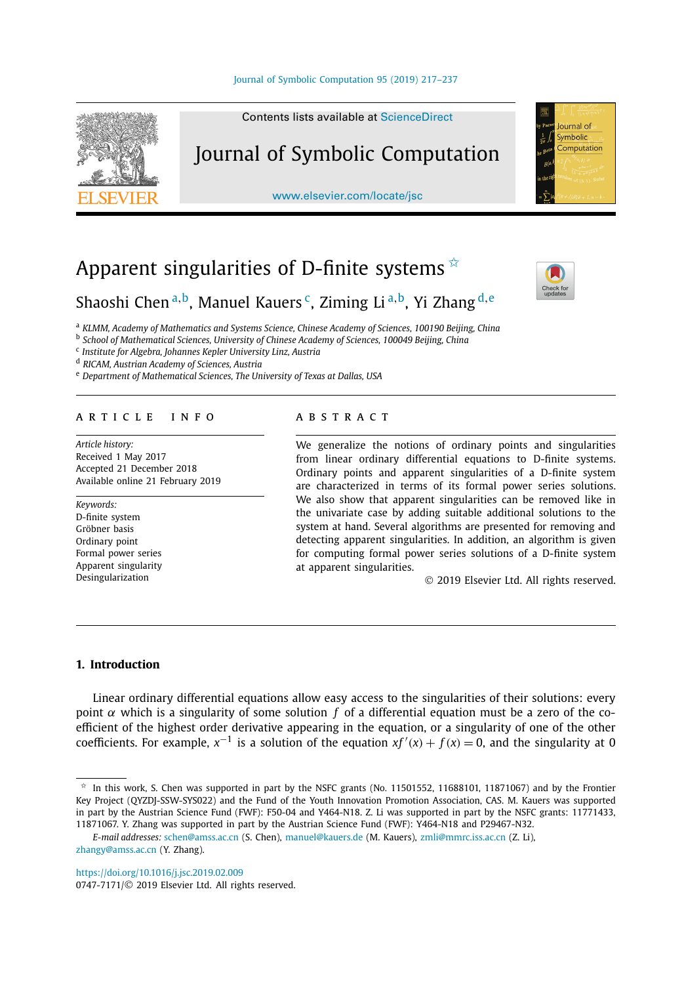#### [Journal of Symbolic Computation 95 \(2019\) 217–237](https://doi.org/10.1016/j.jsc.2019.02.009)



Contents lists available at [ScienceDirect](http://www.ScienceDirect.com/)

# Journal of Symbolic Computation

[www.elsevier.com/locate/jsc](http://www.elsevier.com/locate/jsc)

# Apparent singularities of D-finite systems  $*$



lournal of Symbolic Computation

# Shaoshi Chen <sup>a</sup>*,*b, Manuel Kauers c, Ziming Li <sup>a</sup>*,*b, Yi Zhang <sup>d</sup>*,*<sup>e</sup>

<sup>a</sup> *KLMM, Academy of Mathematics and Systems Science, Chinese Academy of Sciences, 100190 Beijing, China*

<sup>b</sup> *School of Mathematical Sciences, University of Chinese Academy of Sciences, 100049 Beijing, China*

<sup>c</sup> *Institute for Algebra, Johannes Kepler University Linz, Austria*

<sup>d</sup> *RICAM, Austrian Academy of Sciences, Austria*

<sup>e</sup> *Department of Mathematical Sciences, The University of Texas at Dallas, USA*

#### A R T I C L E I N F O A B S T R A C T

*Article history:* Received 1 May 2017 Accepted 21 December 2018 Available online 21 February 2019

*Keywords:* D-finite system Gröbner basis Ordinary point Formal power series Apparent singularity Desingularization

We generalize the notions of ordinary points and singularities from linear ordinary differential equations to D-finite systems. Ordinary points and apparent singularities of a D-finite system are characterized in terms of its formal power series solutions. We also show that apparent singularities can be removed like in the univariate case by adding suitable additional solutions to the system at hand. Several algorithms are presented for removing and detecting apparent singularities. In addition, an algorithm is given for computing formal power series solutions of a D-finite system at apparent singularities.

© 2019 Elsevier Ltd. All rights reserved.

## **1. Introduction**

Linear ordinary differential equations allow easy access to the singularities of their solutions: every point *α* which is a singularity of some solution *f* of a differential equation must be a zero of the coefficient of the highest order derivative appearing in the equation, or a singularity of one of the other coefficients. For example,  $x^{-1}$  is a solution of the equation  $xf'(x) + f(x) = 0$ , and the singularity at 0

<https://doi.org/10.1016/j.jsc.2019.02.009>

In this work, S. Chen was supported in part by the NSFC grants (No. 11501552, 11688101, 11871067) and by the Frontier Key Project (QYZDJ-SSW-SYS022) and the Fund of the Youth Innovation Promotion Association, CAS. M. Kauers was supported in part by the Austrian Science Fund (FWF): F50-04 and Y464-N18. Z. Li was supported in part by the NSFC grants: 11771433, 11871067. Y. Zhang was supported in part by the Austrian Science Fund (FWF): Y464-N18 and P29467-N32.

*E-mail addresses:* [schen@amss.ac.cn](mailto:schen@amss.ac.cn) (S. Chen), [manuel@kauers.de](mailto:manuel@kauers.de) (M. Kauers), [zmli@mmrc.iss.ac.cn](mailto:zmli@mmrc.iss.ac.cn) (Z. Li), [zhangy@amss.ac.cn](mailto:zhangy@amss.ac.cn) (Y. Zhang).

<sup>0747-7171/</sup>© 2019 Elsevier Ltd. All rights reserved.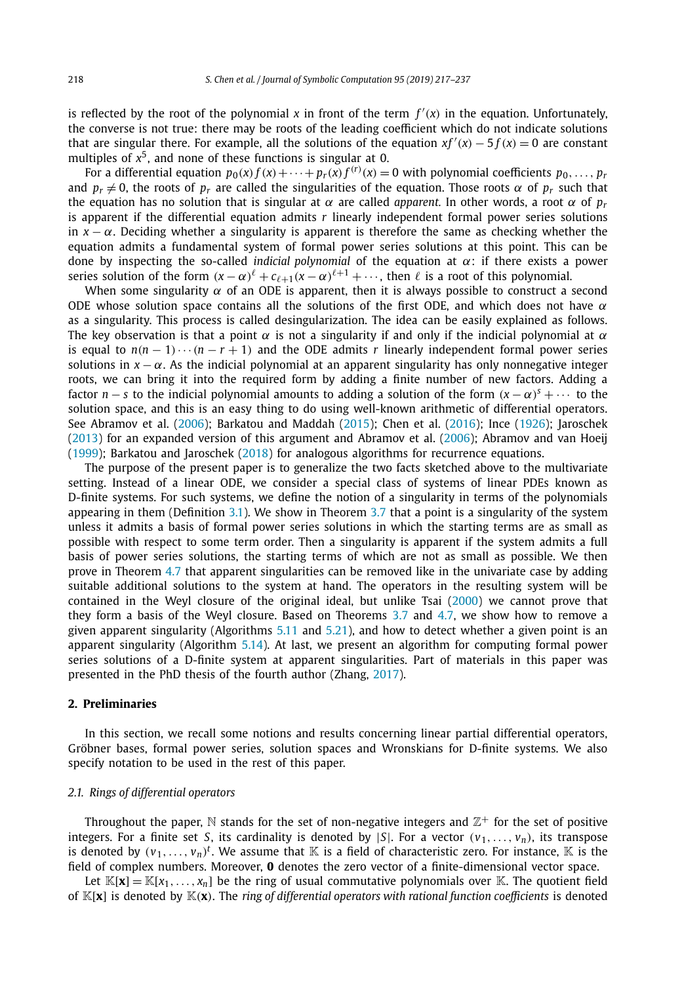is reflected by the root of the polynomial  $x$  in front of the term  $f'(x)$  in the equation. Unfortunately, the converse is not true: there may be roots of the leading coefficient which do not indicate solutions that are singular there. For example, all the solutions of the equation  $xf'(x) - 5f(x) = 0$  are constant multiples of  $x^5$ , and none of these functions is singular at 0.

For a differential equation  $p_0(x)f(x)+\cdots+p_r(x)f^{(r)}(x)=0$  with polynomial coefficients  $p_0,\ldots,p_r$ and  $p_r \neq 0$ , the roots of  $p_r$  are called the singularities of the equation. Those roots  $\alpha$  of  $p_r$  such that the equation has no solution that is singular at *α* are called *apparent*. In other words, a root *α* of  $p_r$ is apparent if the differential equation admits *r* linearly independent formal power series solutions in  $x - \alpha$ . Deciding whether a singularity is apparent is therefore the same as checking whether the equation admits a fundamental system of formal power series solutions at this point. This can be done by inspecting the so-called *indicial polynomial* of the equation at *α*: if there exists a power series solution of the form  $(x - \alpha)^{\ell} + c_{\ell+1}(x - \alpha)^{\ell+1} + \cdots$ , then  $\ell$  is a root of this polynomial.

When some singularity  $\alpha$  of an ODE is apparent, then it is always possible to construct a second ODE whose solution space contains all the solutions of the first ODE, and which does not have *α* as a singularity. This process is called desingularization. The idea can be easily explained as follows. The key observation is that a point  $\alpha$  is not a singularity if and only if the indicial polynomial at  $\alpha$ is equal to  $n(n-1)\cdots(n-r+1)$  and the ODE admits *r* linearly independent formal power series solutions in  $x - \alpha$ . As the indicial polynomial at an apparent singularity has only nonnegative integer roots, we can bring it into the required form by adding a finite number of new factors. Adding a factor *n* − *s* to the indicial polynomial amounts to adding a solution of the form  $(x - \alpha)^s + \cdots$  to the solution space, and this is an easy thing to do using well-known arithmetic of differential operators. See Abramov et al. [\(2006\)](#page-20-0); Barkatou and Maddah [\(2015\)](#page-20-0); Chen et al. [\(2016\)](#page-20-0); Ince [\(1926\)](#page-20-0); Jaroschek [\(2013\)](#page-20-0) for an expanded version of this argument and Abramov et al. [\(2006\)](#page-20-0); Abramov and van Hoeij [\(1999\)](#page-20-0); Barkatou and Jaroschek [\(2018\)](#page-20-0) for analogous algorithms for recurrence equations.

The purpose of the present paper is to generalize the two facts sketched above to the multivariate setting. Instead of a linear ODE, we consider a special class of systems of linear PDEs known as D-finite systems. For such systems, we define the notion of a singularity in terms of the polynomials appearing in them (Definition [3.1\)](#page-5-0). We show in Theorem [3.7](#page-7-0) that a point is a singularity of the system unless it admits a basis of formal power series solutions in which the starting terms are as small as possible with respect to some term order. Then a singularity is apparent if the system admits a full basis of power series solutions, the starting terms of which are not as small as possible. We then prove in Theorem [4.7](#page-9-0) that apparent singularities can be removed like in the univariate case by adding suitable additional solutions to the system at hand. The operators in the resulting system will be contained in the Weyl closure of the original ideal, but unlike Tsai [\(2000\)](#page-20-0) we cannot prove that they form a basis of the Weyl closure. Based on Theorems [3.7](#page-7-0) and [4.7,](#page-9-0) we show how to remove a given apparent singularity (Algorithms [5.11](#page-14-0) and [5.21\)](#page-17-0), and how to detect whether a given point is an apparent singularity (Algorithm [5.14\)](#page-15-0). At last, we present an algorithm for computing formal power series solutions of a D-finite system at apparent singularities. Part of materials in this paper was presented in the PhD thesis of the fourth author (Zhang, [2017\)](#page-20-0).

# **2. Preliminaries**

In this section, we recall some notions and results concerning linear partial differential operators, Gröbner bases, formal power series, solution spaces and Wronskians for D-finite systems. We also specify notation to be used in the rest of this paper.

### *2.1. Rings of differential operators*

Throughout the paper, N stands for the set of non-negative integers and  $\mathbb{Z}^+$  for the set of positive integers. For a finite set *S*, its cardinality is denoted by  $|S|$ . For a vector  $(v_1, \ldots, v_n)$ , its transpose is denoted by  $(v_1,...,v_n)^t$ . We assume that  $\mathbb K$  is a field of characteristic zero. For instance,  $\mathbb K$  is the field of complex numbers. Moreover, **0** denotes the zero vector of a finite-dimensional vector space.

Let  $\mathbb{K}[\mathbf{x}] = \mathbb{K}[x_1, \ldots, x_n]$  be the ring of usual commutative polynomials over  $\mathbb{K}$ . The quotient field of K[**x**] is denoted by K*(***x***)*. The *ring of differential operators with rational function coefficients* is denoted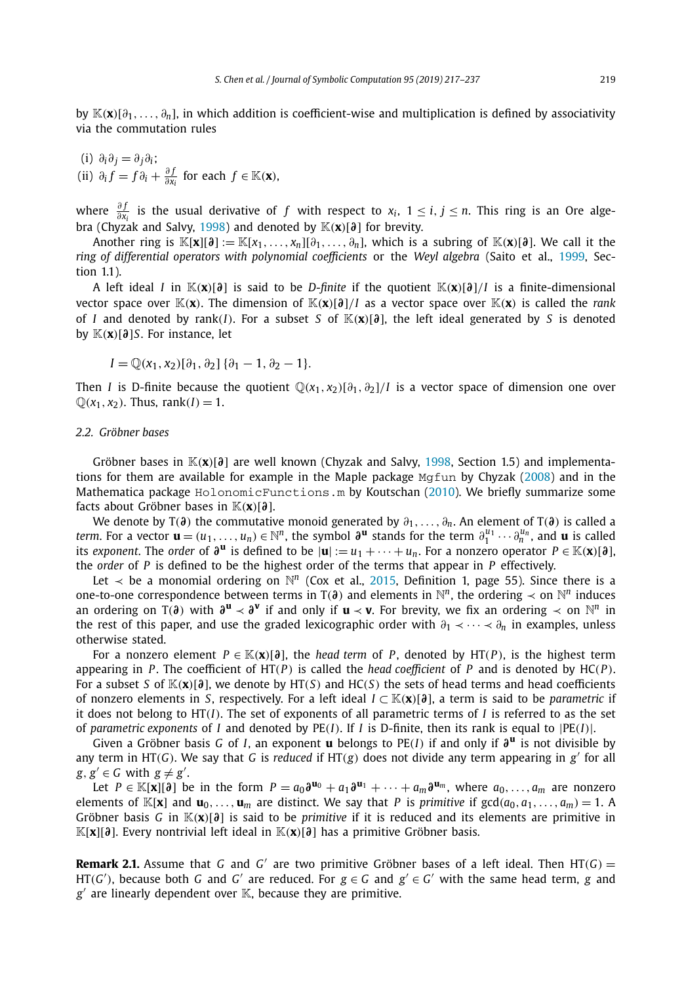<span id="page-2-0"></span>by K*(***x***)*[*∂*1*,..., ∂n*], in which addition is coefficient-wise and multiplication is defined by associativity via the commutation rules

\n- (i) 
$$
\partial_i \partial_j = \partial_j \partial_i
$$
;
\n- (ii)  $\partial_i f = f \partial_i + \frac{\partial f}{\partial x_i}$  for each  $f \in \mathbb{K}(\mathbf{x})$ ,
\n

where  $\frac{\partial f}{\partial x_i}$  is the usual derivative of *f* with respect to  $x_i$ ,  $1 \le i, j \le n$ . This ring is an Ore alge-bra (Chyzak and Salvy, [1998\)](#page-20-0) and denoted by  $\mathbb{K}(\mathbf{x})[\partial]$  for brevity.

Another ring is  $\mathbb{K}[\mathbf{x}][\mathbf{\partial}] := \mathbb{K}[x_1,\ldots,x_n][\mathbf{\partial}_1,\ldots,\mathbf{\partial}_n]$ , which is a subring of  $\mathbb{K}(\mathbf{x})[\mathbf{\partial}]$ . We call it the *ring of differential operators with polynomial coefficients* or the *Weyl algebra* (Saito et al., [1999,](#page-20-0) Section 1.1).

A left ideal *I* in K*(***x***)*[*∂*] is said to be *D-finite* if the quotient K*(***x***)*[*∂*]*/I* is a finite-dimensional vector space over  $\mathbb{K}(\mathbf{x})$ . The dimension of  $\mathbb{K}(\mathbf{x})[\partial]/I$  as a vector space over  $\mathbb{K}(\mathbf{x})$  is called the *rank* of *I* and denoted by rank(*I*). For a subset *S* of  $\mathbb{K}(x)[\partial]$ , the left ideal generated by *S* is denoted by K*(***x***)*[*∂*]*S*. For instance, let

$$
I = \mathbb{Q}(x_1, x_2)[\partial_1, \partial_2] \{ \partial_1 - 1, \partial_2 - 1 \}.
$$

Then *I* is D-finite because the quotient  $\mathbb{Q}(x_1, x_2)[\partial_1, \partial_2]/I$  is a vector space of dimension one over  $\mathbb{Q}(x_1, x_2)$ . Thus, rank $(I) = 1$ .

#### *2.2. Gröbner bases*

Gröbner bases in K*(***x***)*[*∂*] are well known (Chyzak and Salvy, [1998,](#page-20-0) Section 1.5) and implementations for them are available for example in the Maple package  $Mg$  fun by Chyzak [\(2008\)](#page-20-0) and in the Mathematica package HolonomicFunctions.m by Koutschan [\(2010\)](#page-20-0). We briefly summarize some facts about Gröbner bases in K*(***x***)*[*∂*].

We denote by T*(∂)* the commutative monoid generated by *∂*1*,..., ∂n*. An element of T*(∂)* is called a *term.* For a vector  $\mathbf{u} = (u_1, \ldots, u_n) \in \mathbb{N}^n$ , the symbol  $\partial^{\mathbf{u}}$  stands for the term  $\partial_1^{u_1} \cdots \partial_n^{u_n}$ , and  $\mathbf{u}$  is called its *exponent*. The *order* of  $\partial^{\mathbf{u}}$  is defined to be  $|\mathbf{u}| := u_1 + \cdots + u_n$ . For a nonzero operator  $P \in \mathbb{K}(\mathbf{x})[\partial]$ , the *order* of *P* is defined to be the highest order of the terms that appear in *P* effectively.

Let  $\prec$  be a monomial ordering on  $\mathbb{N}^n$  (Cox et al., [2015,](#page-20-0) Definition 1, page 55). Since there is a one-to-one correspondence between terms in  $T(\partial)$  and elements in  $\mathbb{N}^n$ , the ordering  $\prec$  on  $\mathbb{N}^n$  induces an ordering on T( $\partial$ ) with  $\partial$ **u**  $\prec \partial$ <sup>*v*</sup> if and only if **u**  $\prec$ **v**. For brevity, we fix an ordering  $\prec$  on  $\mathbb{N}^n$  in the rest of this paper, and use the graded lexicographic order with *∂*<sup>1</sup> ≺···≺ *∂<sup>n</sup>* in examples, unless otherwise stated.

For a nonzero element  $P \in K(\mathbf{x})[\partial]$ , the *head term* of P, denoted by HT(P), is the highest term appearing in *P*. The coefficient of  $HT(P)$  is called the *head* coefficient of *P* and is denoted by  $HC(P)$ . For a subset *S* of  $\mathbb{K}(x)[\partial]$ , we denote by HT(*S*) and HC(*S*) the sets of head terms and head coefficients of nonzero elements in *S*, respectively. For a left ideal *I* ⊂ K*(***x***)*[*∂*], a term is said to be *parametric* if it does not belong to HT*(I)*. The set of exponents of all parametric terms of *I* is referred to as the set of *parametric exponents* of *I* and denoted by PE*(I)*. If *I* is D-finite, then its rank is equal to |PE*(I)*|.

Given a Gröbner basis *G* of *I*, an exponent **u** belongs to PE*(I)* if and only if *∂***<sup>u</sup>** is not divisible by any term in HT*(G)*. We say that *G* is *reduced* if HT*(g)* does not divide any term appearing in *g*- for all  $g, g' \in G$  with  $g \neq g'$ .

Let *P* ∈ K[**x**][∂<sup>2</sup>] be in the form  $P = a_0 \partial^{u_0} + a_1 \partial^{u_1} + \cdots + a_m \partial^{u_m}$ , where  $a_0, \ldots, a_m$  are nonzero elements of  $\mathbb{K}[\mathbf{x}]$  and  $\mathbf{u}_0, \ldots, \mathbf{u}_m$  are distinct. We say that P is primitive if  $\gcd(a_0, a_1, \ldots, a_m) = 1$ . A Gröbner basis *G* in K*(***x***)*[*∂*] is said to be *primitive* if it is reduced and its elements are primitive in K[**x**][*∂*]. Every nontrivial left ideal in K*(***x***)*[*∂*] has a primitive Gröbner basis.

**Remark 2.1.** Assume that *G* and *G'* are two primitive Gröbner bases of a left ideal. Then HT(*G*) =  $\text{HT}(G')$ , because both *G* and *G'* are reduced. For  $g \in G$  and  $g' \in G'$  with the same head term, *g* and g' are linearly dependent over K, because they are primitive.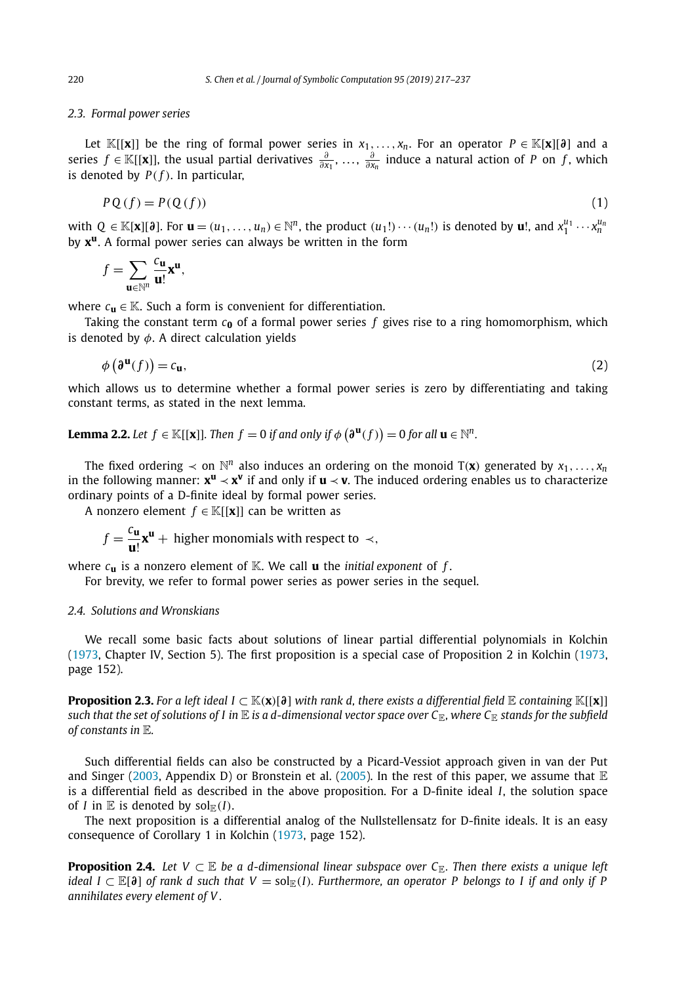### <span id="page-3-0"></span>*2.3. Formal power series*

Let  $\mathbb{K}[[x]]$  be the ring of formal power series in  $x_1, \ldots, x_n$ . For an operator  $P \in \mathbb{K}[x][\delta]$  and a series *f* ∈ K[[**x**]], the usual partial derivatives  $\frac{\partial}{\partial x_1}, \ldots, \frac{\partial}{\partial x_n}$  induce a natural action of *P* on *f*, which is denoted by  $P(f)$ . In particular,

$$
PQ(f) = P(Q(f))
$$
\n(1)

with  $Q \in \mathbb{K}[\mathbf{x}][\mathfrak{d}]$ . For  $\mathbf{u} = (u_1, \ldots, u_n) \in \mathbb{N}^n$ , the product  $(u_1!) \cdots (u_n!)$  is denoted by  $\mathbf{u}!$ , and  $x_1^{u_1} \cdots x_n^{u_n}$ by **xu**. A formal power series can always be written in the form

$$
f=\sum_{\mathbf{u}\in\mathbb{N}^n}\frac{c_{\mathbf{u}}}{\mathbf{u}!}\mathbf{x}^{\mathbf{u}},
$$

where  $c$ **u**  $\in$  K. Such a form is convenient for differentiation.

Taking the constant term  $c_0$  of a formal power series  $f$  gives rise to a ring homomorphism, which is denoted by *φ*. A direct calculation yields

$$
\phi\left(\mathbf{\partial}^{\mathbf{u}}(f)\right) = c_{\mathbf{u}},\tag{2}
$$

which allows us to determine whether a formal power series is zero by differentiating and taking constant terms, as stated in the next lemma.

**Lemma 2.2.** Let  $f \in \mathbb{K}[[x]].$  Then  $f = 0$  if and only if  $\phi\left(\mathfrak{d}^{\mathbf{u}}(f)\right) = 0$  for all  $\mathbf{u} \in \mathbb{N}^n$ .

The fixed ordering  $\le$  on  $\mathbb{N}^n$  also induces an ordering on the monoid T(**x**) generated by  $x_1, \ldots, x_n$ in the following manner: **x<sup>u</sup>** ≺ **x<sup>v</sup>** if and only if **u** ≺ **v**. The induced ordering enables us to characterize ordinary points of a D-finite ideal by formal power series.

A nonzero element  $f \in \mathbb{K}[[\mathbf{x}]]$  can be written as

 $f = \frac{c_{\mathbf{u}}}{\mathbf{u}!} \mathbf{x}^{\mathbf{u}} + \text{higher monomials with respect to } \prec,$ 

where *c***<sup>u</sup>** is a nonzero element of K. We call **u** the *initial exponent* of *f* .

For brevity, we refer to formal power series as power series in the sequel.

### *2.4. Solutions and Wronskians*

We recall some basic facts about solutions of linear partial differential polynomials in Kolchin [\(1973,](#page-20-0) Chapter IV, Section 5). The first proposition is a special case of Proposition 2 in Kolchin [\(1973,](#page-20-0) page 152).

**Proposition 2.3.** For a left ideal  $I \subset \mathbb{K}(x)[\partial]$  with rank d, there exists a differential field  $\mathbb E$  containing  $\mathbb K[[x]]$ such that the set of solutions of I in  $E$  is a d-dimensional vector space over  $C_E$ , where  $C_E$  stands for the subfield *of constants in* E*.*

Such differential fields can also be constructed by a Picard-Vessiot approach given in van der Put and Singer [\(2003,](#page-20-0) Appendix D) or Bronstein et al. [\(2005\)](#page-20-0). In the rest of this paper, we assume that  $E$ is a differential field as described in the above proposition. For a D-finite ideal *I*, the solution space of *I* in  $E$  is denoted by sol $E(F)$ .

The next proposition is a differential analog of the Nullstellensatz for D-finite ideals. It is an easy consequence of Corollary 1 in Kolchin [\(1973,](#page-20-0) page 152).

**Proposition 2.4.** Let  $V \subset \mathbb{E}$  be a d-dimensional linear subspace over  $C_{\mathbb{E}}$ . Then there exists a unique left ideal  $I \subset \mathbb{E}[\partial]$  of rank d such that  $V = sol_{\mathbb{E}}(I)$ . Furthermore, an operator P belongs to I if and only if P *annihilates every element of V .*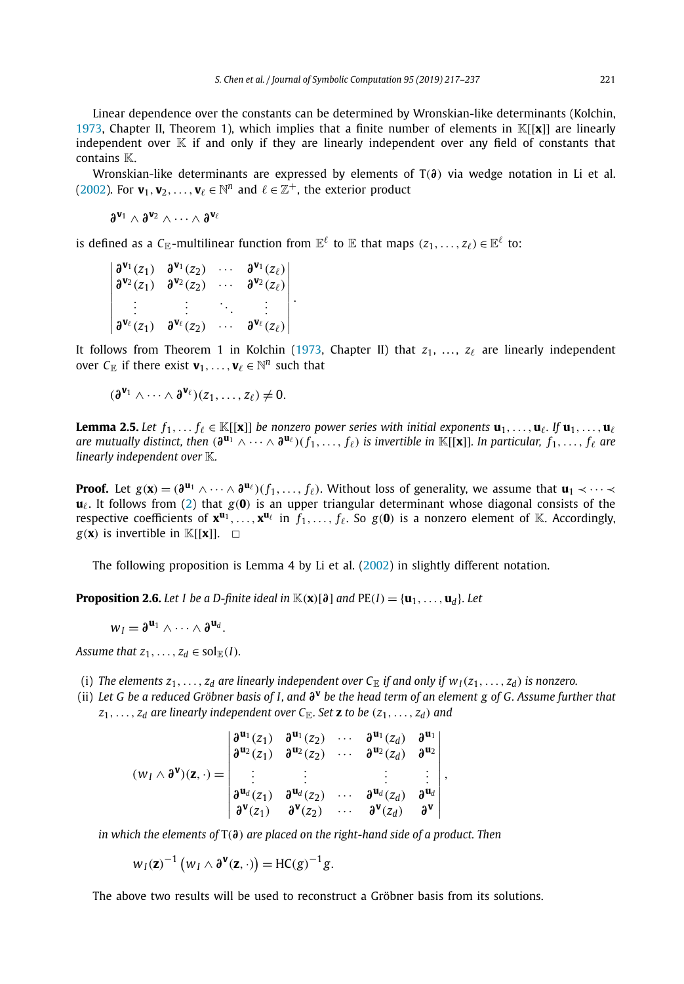<span id="page-4-0"></span>Linear dependence over the constants can be determined by Wronskian-like determinants (Kolchin, [1973,](#page-20-0) Chapter II, Theorem 1), which implies that a finite number of elements in K[[**x**]] are linearly independent over  $K$  if and only if they are linearly independent over any field of constants that contains **K**.

Wronskian-like determinants are expressed by elements of T*(∂)* via wedge notation in Li et al. [\(2002\)](#page-20-0). For  $\mathbf{v}_1, \mathbf{v}_2, \ldots, \mathbf{v}_\ell \in \mathbb{N}^n$  and  $\ell \in \mathbb{Z}^+$ , the exterior product

*∂***<sup>v</sup>**<sup>1</sup> ∧ *∂***<sup>v</sup>**<sup>2</sup> ∧···∧ *∂***<sup>v</sup>**

is defined as a  $C_{\mathbb{E}}$ -multilinear function from  $\mathbb{E}^{\ell}$  to  $\mathbb{E}$  that maps  $(z_1, \ldots, z_{\ell}) \in \mathbb{E}^{\ell}$  to:

 *∂***<sup>v</sup>**<sup>1</sup> *(z*1*) ∂***<sup>v</sup>**<sup>1</sup> *(z*2*)* ··· *∂***<sup>v</sup>**<sup>1</sup> *(z) ∂***<sup>v</sup>**<sup>2</sup> *(z*1*) ∂***<sup>v</sup>**<sup>2</sup> *(z*2*)* ··· *∂***<sup>v</sup>**<sup>2</sup> *(z) . . . . . . ... . . .*  $\partial^{V_{\ell}}(z_1)$   $\partial^{V_{\ell}}(z_2)$  ···  $\partial^{V_{\ell}}(z_{\ell})$  *.*

It follows from Theorem 1 in Kolchin [\(1973,](#page-20-0) Chapter II) that  $z_1, \ldots, z_\ell$  are linearly independent over  $C_{\mathbb{E}}$  if there exist  $\mathbf{v}_1, \ldots, \mathbf{v}_{\ell} \in \mathbb{N}^n$  such that

$$
(\partial^{\mathbf{v}_1} \wedge \cdots \wedge \partial^{\mathbf{v}_\ell})(z_1, \ldots, z_\ell) \neq 0.
$$

**Lemma 2.5.** Let  $f_1,\ldots f_\ell\in\mathbb{K}[[\mathbf{x}]]$  be nonzero power series with initial exponents  $\mathbf{u}_1,\ldots,\mathbf{u}_\ell$ . If  $\mathbf{u}_1,\ldots,\mathbf{u}_\ell$ are mutually distinct, then  $(\pmb\partial^{\bf u_1}\wedge\cdots\wedge\pmb\partial^{\bf u_\ell})(f_1,\ldots,f_\ell)$  is invertible in  $\mathbb{K}[[\pmb x]].$  In particular,  $f_1,\ldots,f_\ell$  are *linearly independent over* K*.*

**Proof.** Let  $g(\mathbf{x}) = (\partial^{\mathbf{u}_1} \wedge \cdots \wedge \partial^{\mathbf{u}_\ell}) (f_1, \ldots, f_\ell)$ . Without loss of generality, we assume that  $\mathbf{u}_1 \prec \cdots \prec \mathbf{u}_\ell$  $\mathbf{u}_\ell$ . It follows from [\(2\)](#page-3-0) that  $g(\mathbf{0})$  is an upper triangular determinant whose diagonal consists of the respective coefficients of  $\mathbf{x}^{\mathbf{u}_1}, \ldots, \mathbf{x}^{\mathbf{u}_\ell}$  in  $f_1, \ldots, f_\ell$ . So  $g(\mathbf{0})$  is a nonzero element of K. Accordingly,  $g(\mathbf{x})$  is invertible in  $\mathbb{K}[[\mathbf{x}]]$ .  $\Box$ 

The following proposition is Lemma 4 by Li et al. [\(2002\)](#page-20-0) in slightly different notation.

**Proposition 2.6.** Let I be a D-finite ideal in  $\mathbb{K}(\mathbf{x})[\partial]$  and  $PE(I) = {\mathbf{u}_1, \dots, \mathbf{u}_d}$ . Let

$$
w_I = \mathfrak{d}^{\mathbf{u}_1} \wedge \cdots \wedge \mathfrak{d}^{\mathbf{u}_d}.
$$

*Assume that*  $z_1, \ldots, z_d \in \text{sol}_{\mathbb{F}}(I)$ *.* 

- (i) The elements  $z_1, \ldots, z_d$  are linearly independent over  $C_{\mathbb{E}}$  if and only if  $w_1(z_1, \ldots, z_d)$  is nonzero.
- (ii) Let G be a reduced Gröbner basis of I, and  $\partial^V$  be the head term of an element g of G. Assume further that  $z_1, \ldots, z_d$  *are linearly independent over*  $C_{\mathbb{F}}$ *. Set* **z** *to be*  $(z_1, \ldots, z_d)$  *and*

$$
(w_I \wedge \partial^{\mathbf{v}})(\mathbf{z},\cdot) = \begin{vmatrix} \partial^{\mathbf{u}_1}(z_1) & \partial^{\mathbf{u}_1}(z_2) & \cdots & \partial^{\mathbf{u}_1}(z_d) & \partial^{\mathbf{u}_1} \\ \partial^{\mathbf{u}_2}(z_1) & \partial^{\mathbf{u}_2}(z_2) & \cdots & \partial^{\mathbf{u}_2}(z_d) & \partial^{\mathbf{u}_2} \\ \vdots & \vdots & & \vdots & \vdots \\ \partial^{\mathbf{u}_d}(z_1) & \partial^{\mathbf{u}_d}(z_2) & \cdots & \partial^{\mathbf{u}_d}(z_d) & \partial^{\mathbf{u}_d} \\ \partial^{\mathbf{v}}(z_1) & \partial^{\mathbf{v}}(z_2) & \cdots & \partial^{\mathbf{v}}(z_d) & \partial^{\mathbf{v}} \end{vmatrix},
$$

*in which the elements of* T*(∂) are placed on the right-hand side of a product. Then*

$$
w_I(z)^{-1}(w_I \wedge \partial^{\mathbf{v}}(z, \cdot)) = HC(g)^{-1}g.
$$

The above two results will be used to reconstruct a Gröbner basis from its solutions.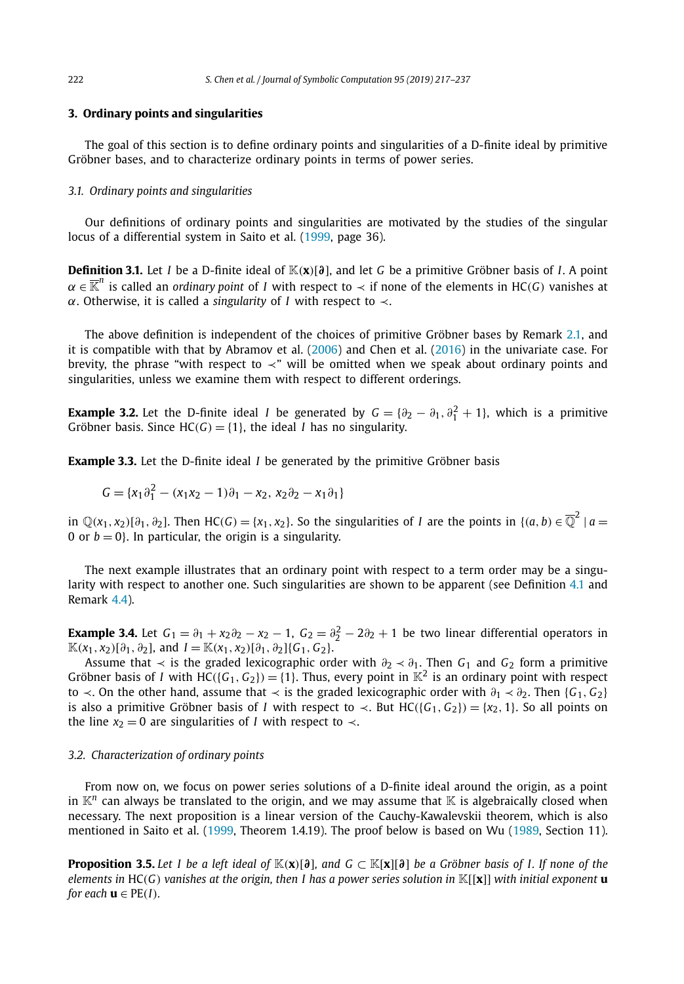#### <span id="page-5-0"></span>**3. Ordinary points and singularities**

The goal of this section is to define ordinary points and singularities of a D-finite ideal by primitive Gröbner bases, and to characterize ordinary points in terms of power series.

### *3.1. Ordinary points and singularities*

Our definitions of ordinary points and singularities are motivated by the studies of the singular locus of a differential system in Saito et al. [\(1999,](#page-20-0) page 36).

**Definition 3.1.** Let *I* be a D-finite ideal of K*(***x***)*[*∂*], and let *G* be a primitive Gröbner basis of *I*. A point  $\alpha \in \overline{\mathbb{K}}^n$  is called an *ordinary* point of *I* with respect to  $\prec$  if none of the elements in HC(*G*) vanishes at *α*. Otherwise, it is called a *singularity* of *I* with respect to ≺.

The above definition is independent of the choices of primitive Gröbner bases by Remark [2.1,](#page-2-0) and it is compatible with that by Abramov et al. [\(2006\)](#page-20-0) and Chen et al. [\(2016\)](#page-20-0) in the univariate case. For brevity, the phrase "with respect to  $\prec$ " will be omitted when we speak about ordinary points and singularities, unless we examine them with respect to different orderings.

**Example 3.2.** Let the D-finite ideal *I* be generated by  $G = \{\partial_2 - \partial_1, \partial_1^2 + 1\}$ , which is a primitive Gröbner basis. Since  $HC(G) = \{1\}$ , the ideal *I* has no singularity.

**Example 3.3.** Let the D-finite ideal *I* be generated by the primitive Gröbner basis

$$
G = \{x_1 \partial_1^2 - (x_1 x_2 - 1)\partial_1 - x_2, x_2 \partial_2 - x_1 \partial_1\}
$$

in  $\mathbb{Q}(x_1, x_2)[\partial_1, \partial_2]$ . Then HC(G) = { $x_1, x_2$ }. So the singularities of *I* are the points in { $(a, b) \in \overline{\mathbb{Q}}^2$  |  $a =$ 0 or  $b = 0$ . In particular, the origin is a singularity.

The next example illustrates that an ordinary point with respect to a term order may be a singularity with respect to another one. Such singularities are shown to be apparent (see Definition [4.1](#page-8-0) and Remark [4.4\)](#page-8-0).

**Example 3.4.** Let  $G_1 = \partial_1 + x_2\partial_2 - x_2 - 1$ ,  $G_2 = \partial_2^2 - 2\partial_2 + 1$  be two linear differential operators in  $\mathbb{K}(x_1, x_2)[\partial_1, \partial_2]$ , and  $I = \mathbb{K}(x_1, x_2)[\partial_1, \partial_2]$  {*G*<sub>1</sub>*, G*<sub>2</sub>}.

Assume that  $\prec$  is the graded lexicographic order with  $\partial_2 \prec \partial_1$ . Then  $G_1$  and  $G_2$  form a primitive Gröbner basis of *I* with  $HC({G_1, G_2}) = {1}$ . Thus, every point in  $K^2$  is an ordinary point with respect to  $\prec$ . On the other hand, assume that  $\prec$  is the graded lexicographic order with  $\partial_1 \prec \partial_2$ . Then {*G*<sub>1</sub>*, G*<sub>2</sub>} is also a primitive Gröbner basis of *I* with respect to  $\prec$ . But HC({*G*<sub>1</sub>*, G*<sub>2</sub>}) = {*x*<sub>2</sub>*,* 1}. So all points on the line  $x_2 = 0$  are singularities of *I* with respect to  $\prec$ .

#### *3.2. Characterization of ordinary points*

From now on, we focus on power series solutions of a D-finite ideal around the origin, as a point in  $K^n$  can always be translated to the origin, and we may assume that  $K$  is algebraically closed when necessary. The next proposition is a linear version of the Cauchy-Kawalevskii theorem, which is also mentioned in Saito et al. [\(1999,](#page-20-0) Theorem 1.4.19). The proof below is based on Wu [\(1989,](#page-20-0) Section 11).

**Proposition 3.5.** Let I be a left ideal of  $\mathbb{K}(x)[\partial]$ , and  $G \subset \mathbb{K}[x][\partial]$  be a Gröbner basis of I. If none of the elements in HC(G) vanishes at the origin, then I has a power series solution in  $\mathbb{K}[\{x\}]$  with initial exponent **u** *for each*  $\mathbf{u} \in PE(I)$ *.*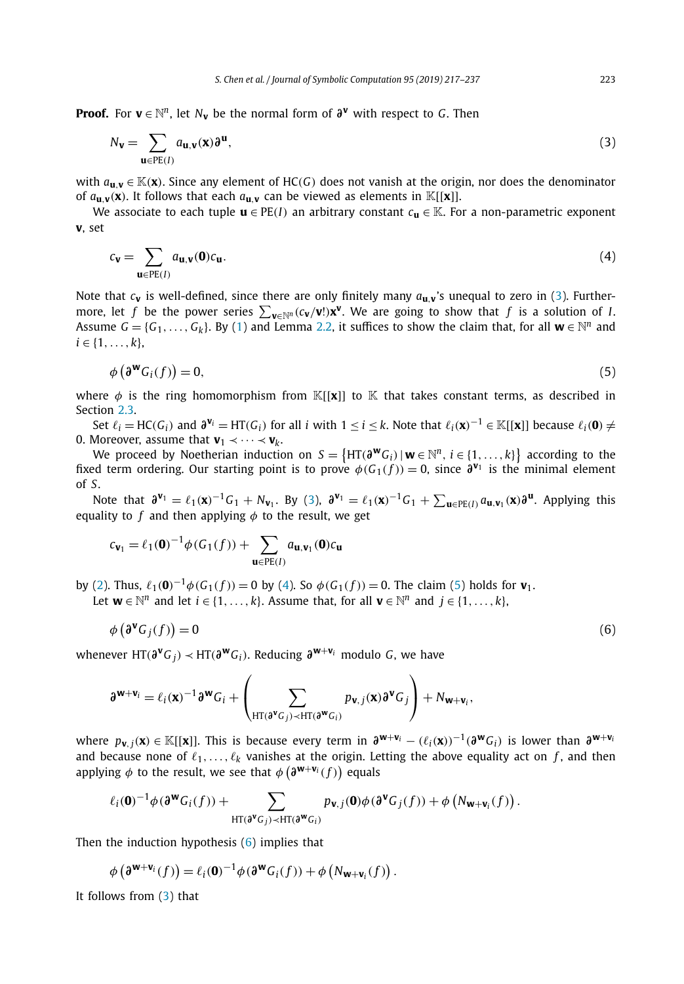<span id="page-6-0"></span>**Proof.** For **v**  $\in$   $\mathbb{N}^n$ , let  $N_v$  be the normal form of  $\partial$ <sup>**v**</sup> with respect to *G*. Then

$$
N_{\mathbf{v}} = \sum_{\mathbf{u} \in PE(I)} a_{\mathbf{u},\mathbf{v}}(\mathbf{x}) \partial^{\mathbf{u}},\tag{3}
$$

with  $a_{\bf u}$ ,  $\in$  K(**x**). Since any element of HC(*G*) does not vanish at the origin, nor does the denominator of  $a_{\mathbf{u},\mathbf{v}}(\mathbf{x})$ . It follows that each  $a_{\mathbf{u},\mathbf{v}}$  can be viewed as elements in  $\mathbb{K}[[\mathbf{x}]]$ .

We associate to each tuple  $\mathbf{u} \in PE(I)$  an arbitrary constant  $c_{\mathbf{u}} \in K$ . For a non-parametric exponent **v**, set

$$
c_{\mathbf{v}} = \sum_{\mathbf{u} \in PE(I)} a_{\mathbf{u},\mathbf{v}}(\mathbf{0}) c_{\mathbf{u}}.
$$
 (4)

Note that  $c_{\bf{v}}$  is well-defined, since there are only finitely many  $a_{\bf{u}}$ ,  $\bf{v}$ 's unequal to zero in (3). Furthermore, let *f* be the power series  $\sum_{\mathbf{v}\in\mathbb{N}^n} (c_{\mathbf{v}}/\mathbf{v}!) \mathbf{x}^{\mathbf{v}}$ . We are going to show that *f* is a solution of *I*. Assume  $G = \{G_1, \ldots, G_k\}$ . By [\(1\)](#page-3-0) and Lemma [2.2,](#page-3-0) it suffices to show the claim that, for all  $\mathbf{w} \in \mathbb{N}^n$  and  $i \in \{1, \ldots, k\},\$ 

$$
\phi\left(\mathbf{\partial}^{\mathbf{W}}\mathbf{G}_{i}(f)\right)=0,\tag{5}
$$

where  $\phi$  is the ring homomorphism from K[[**x**]] to K that takes constant terms, as described in Section [2.3.](#page-3-0)

Set  $\ell_i = HC(G_i)$  and  $\mathfrak{d}^{\mathbf{v}_i} = HT(G_i)$  for all i with  $1 \leq i \leq k$ . Note that  $\ell_i(\mathbf{x})^{-1} \in \mathbb{K}[[\mathbf{x}]]$  because  $\ell_i(\mathbf{0}) \neq \ell_i(\mathbf{0})$ 0. Moreover, assume that  $\mathbf{v}_1 \prec \cdots \prec \mathbf{v}_k$ .

We proceed by Noetherian induction on  $S = \{HT(\partial^{\mathbf{w}}G_i) | \mathbf{w} \in \mathbb{N}^n, i \in \{1,\ldots,k\}\}\$ according to the fixed term ordering. Our starting point is to prove  $\phi(G_1(f)) = 0$ , since  $\partial^{V_1}$  is the minimal element of *S*.

Note that  $\partial^{\mathbf{v}_1} = \ell_1(\mathbf{x})^{-1}G_1 + N_{\mathbf{v}_1}$ . By (3),  $\partial^{\mathbf{v}_1} = \ell_1(\mathbf{x})^{-1}G_1 + \sum_{\mathbf{u} \in PE(I)} a_{\mathbf{u},\mathbf{v}_1}(\mathbf{x})\partial^{\mathbf{u}}$ . Applying this equality to *f* and then applying *φ* to the result, we get

$$
c_{\mathbf{v}_1} = \ell_1(\mathbf{0})^{-1} \phi(G_1(f)) + \sum_{\mathbf{u} \in PE(I)} a_{\mathbf{u}, \mathbf{v}_1}(\mathbf{0}) c_{\mathbf{u}}
$$

by [\(2\)](#page-3-0). Thus,  $\ell_1(\mathbf{0})^{-1}\phi(G_1(f)) = 0$  by (4). So  $\phi(G_1(f)) = 0$ . The claim (5) holds for  $\mathbf{v}_1$ .

Let  $\mathbf{w} \in \mathbb{N}^n$  and let  $i \in \{1, ..., k\}$ . Assume that, for all  $\mathbf{v} \in \mathbb{N}^n$  and  $j \in \{1, ..., k\}$ ,

$$
\phi\left(\partial^{\mathbf{V}}\mathbf{G}_j(f)\right) = 0\tag{6}
$$

whenever HT( $\partial^{\mathbf{v}} G_i$ ) ≺ HT( $\partial^{\mathbf{w}} G_i$ ). Reducing  $\partial^{\mathbf{w}+\mathbf{v}_i}$  modulo *G*, we have

$$
\partial^{\mathbf{W}+\mathbf{v}_i} = \ell_i(\mathbf{x})^{-1} \partial^{\mathbf{W}} G_i + \left( \sum_{\mathrm{HT}(\partial^{\mathbf{V}} G_j) \prec \mathrm{HT}(\partial^{\mathbf{W}} G_i)} p_{\mathbf{v},j}(\mathbf{x}) \partial^{\mathbf{V}} G_j \right) + N_{\mathbf{W}+\mathbf{V}_i},
$$

where  $p_{v,i}(\mathbf{x}) \in \mathbb{K}[[\mathbf{x}]]$ . This is because every term in  $\partial^{\mathbf{w}+\mathbf{v}_i} - (\ell_i(\mathbf{x}))^{-1}(\partial^{\mathbf{w}}G_i)$  is lower than  $\partial^{\mathbf{w}+\mathbf{v}_i}$ and because none of  $\ell_1, \ldots, \ell_k$  vanishes at the origin. Letting the above equality act on  $f$ , and then applying  $\phi$  to the result, we see that  $\phi\left(\boldsymbol{\partial}^{\mathbf{W}+\mathbf{V}_i}(f)\right)$  equals

$$
\ell_i(\mathbf{0})^{-1}\phi(\mathbf{\partial^w}G_i(f)) + \sum_{\mathrm{HT}(\mathbf{\partial^w}G_j) \prec \mathrm{HT}(\mathbf{\partial^w}G_i)} p_{\mathbf{v},j}(\mathbf{0})\phi(\mathbf{\partial^v}G_j(f)) + \phi\left(N_{\mathbf{w}+\mathbf{v}_i}(f)\right).
$$

Then the induction hypothesis  $(6)$  implies that

$$
\phi\left(\mathbf{\partial}^{\mathbf{W}+\mathbf{V}_i}(f)\right)=\ell_i(\mathbf{0})^{-1}\phi(\mathbf{\partial}^{\mathbf{W}}G_i(f))+\phi\left(N_{\mathbf{W}+\mathbf{V}_i}(f)\right).
$$

It follows from (3) that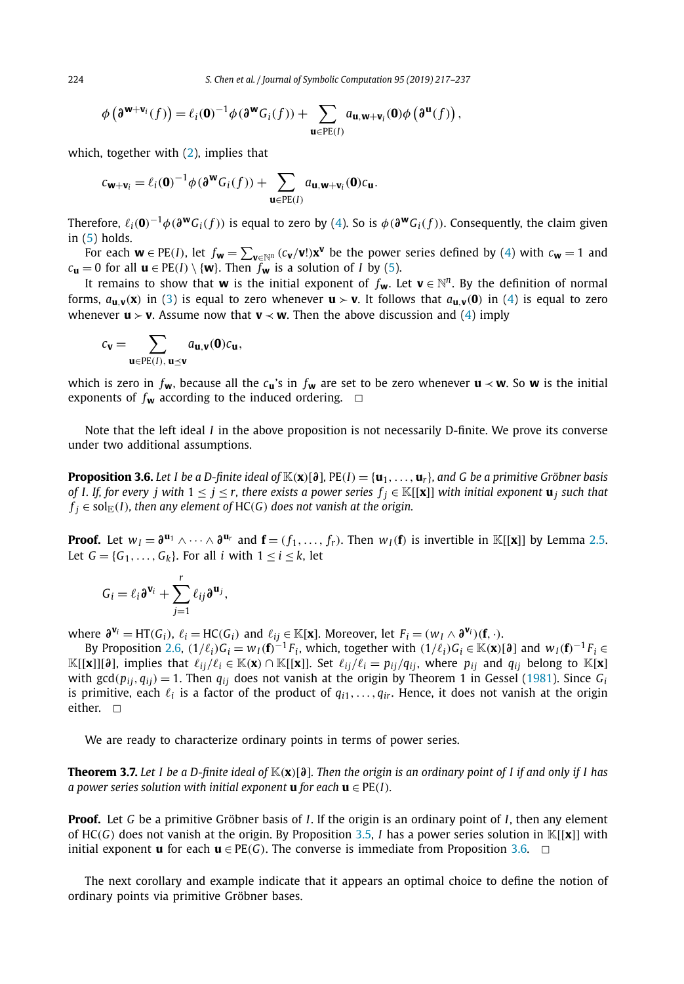<span id="page-7-0"></span>224 *S. Chen et al. / Journal of Symbolic Computation 95 (2019) 217–237*

$$
\phi\left(\mathfrak{d}^{\mathbf{w}+\mathbf{v}_i}(f)\right)=\ell_i(\mathbf{0})^{-1}\phi(\mathfrak{d}^{\mathbf{w}}G_i(f))+\sum_{\mathbf{u}\in PE(I)}a_{\mathbf{u},\mathbf{w}+\mathbf{v}_i}(\mathbf{0})\phi\left(\mathfrak{d}^{\mathbf{u}}(f)\right),
$$

which, together with [\(2\)](#page-3-0), implies that

$$
c_{\mathbf{w}+\mathbf{v}_i} = \ell_i(\mathbf{0})^{-1} \phi(\partial^{\mathbf{w}} G_i(f)) + \sum_{\mathbf{u} \in PE(I)} a_{\mathbf{u},\mathbf{w}+\mathbf{v}_i}(\mathbf{0}) c_{\mathbf{u}}.
$$

Therefore,  $\ell_i(\mathbf{0})^{-1}\phi(\partial^{\mathbf{w}}G_i(f))$  is equal to zero by [\(4\)](#page-6-0). So is  $\phi(\partial^{\mathbf{w}}G_i(f))$ . Consequently, the claim given in [\(5\)](#page-6-0) holds.

For each  $w \in PE(I)$ , let  $f_w = \sum_{v \in \mathbb{N}^n} (c_v/v!) x^v$  be the power series defined by [\(4\)](#page-6-0) with  $c_w = 1$  and *c***u** = 0 for all **u** ∈ PE(*I*) \ {**w**}. Then *f*<sub>**w**</sub> is a solution of *I* by [\(5\)](#page-6-0).

It remains to show that **w** is the initial exponent of  $f_w$ . Let  $v \in \mathbb{N}^n$ . By the definition of normal forms,  $a_{\bf u}$   $\bf v}(\bf x)$  in [\(3\)](#page-6-0) is equal to zero whenever  $\bf u > \bf v$ . It follows that  $a_{\bf u}$   $\bf v}(\bf 0)$  in [\(4\)](#page-6-0) is equal to zero whenever  $\mathbf{u} > \mathbf{v}$ . Assume now that  $\mathbf{v} \prec \mathbf{w}$ . Then the above discussion and [\(4\)](#page-6-0) imply

$$
\mathbf{C}_v = \sum_{u \in PE(I), \, u \preceq v} a_{u,v}(0) \mathbf{C}_u,
$$

which is zero in  $f_w$ , because all the  $c_u$ 's in  $f_w$  are set to be zero whenever  $u \prec w$ . So w is the initial exponents of  $f_w$  according to the induced ordering.  $\Box$ 

Note that the left ideal *I* in the above proposition is not necessarily D-finite. We prove its converse under two additional assumptions.

**Proposition 3.6.** Let 1 be a D-finite ideal of  $\mathbb{K}(x)[\partial]$ , PE(I) =  $\{u_1, \ldots, u_r\}$ , and G be a primitive Gröbner basis of I. If, for every j with  $1 \le j \le r$ , there exists a power series  $f_i \in \mathbb{K}[[\mathbf{x}]]$  with initial exponent  $\mathbf{u}_i$  such that  $f_i \in \text{sol}_{\mathbb{E}}(I)$ *, then any element of* HC(*G*) *does not vanish at the origin.* 

**Proof.** Let  $w_l = \partial^{u_1} \wedge \cdots \wedge \partial^{u_r}$  and  $\mathbf{f} = (f_1, \ldots, f_r)$ . Then  $w_l(\mathbf{f})$  is invertible in K[[**x**]] by Lemma [2.5.](#page-4-0) Let  $G = \{G_1, \ldots, G_k\}$ . For all *i* with  $1 \le i \le k$ , let

$$
G_i = \ell_i \mathbf{\partial}^{\mathbf{v}_i} + \sum_{j=1}^r \ell_{ij} \mathbf{\partial}^{\mathbf{u}_j},
$$

where  $\mathfrak{d}^{\mathbf{v}_i} = HT(G_i)$ ,  $\ell_i = HC(G_i)$  and  $\ell_{ij} \in \mathbb{K}[\mathbf{x}]$ . Moreover, let  $F_i = (w_i \wedge \mathfrak{d}^{\mathbf{v}_i})(\mathbf{f}, \cdot)$ .

By Proposition [2.6,](#page-4-0)  $(1/\ell_i)G_i = w_I(\mathbf{f})^{-1}F_i$ , which, together with  $(1/\ell_i)G_i \in \mathbb{K}(\mathbf{x})[\mathbf{\partial}]$  and  $w_I(\mathbf{f})^{-1}F_i \in$  $\mathbb{K}[[\mathbf{x}]][{\mathbf{\partial}}]$ , implies that  $\ell_{ij}/\ell_i \in \mathbb{K}(\mathbf{x}) \cap \mathbb{K}[[\mathbf{x}]]$ . Set  $\ell_{ij}/\ell_i = p_{ij}/q_{ij}$ , where  $p_{ij}$  and  $q_{ij}$  belong to  $\mathbb{K}[\mathbf{x}]$ with gcd( $p_{ii}$ ,  $q_{ii}$ ) = 1. Then  $q_{ii}$  does not vanish at the origin by Theorem 1 in Gessel [\(1981\)](#page-20-0). Since  $G_i$ is primitive, each  $\ell_i$  is a factor of the product of  $q_{i1}, \ldots, q_{ir}$ . Hence, it does not vanish at the origin either.  $\Box$ 

We are ready to characterize ordinary points in terms of power series.

**Theorem 3.7.** Let 1 be a D-finite ideal of  $\mathbb{K}(x)[\partial]$ . Then the origin is an ordinary point of 1 if and only if 1 has *a power series solution with initial exponent* **u** *for each* **u**  $\in$  PE(*I*)*.* 

**Proof.** Let *G* be a primitive Gröbner basis of *I*. If the origin is an ordinary point of *I*, then any element of HC*(G)* does not vanish at the origin. By Proposition [3.5,](#page-5-0) *I* has a power series solution in K[[**x**]] with initial exponent **u** for each **u**  $\in$  PE(*G*). The converse is immediate from Proposition 3.6.  $\Box$ 

The next corollary and example indicate that it appears an optimal choice to define the notion of ordinary points via primitive Gröbner bases.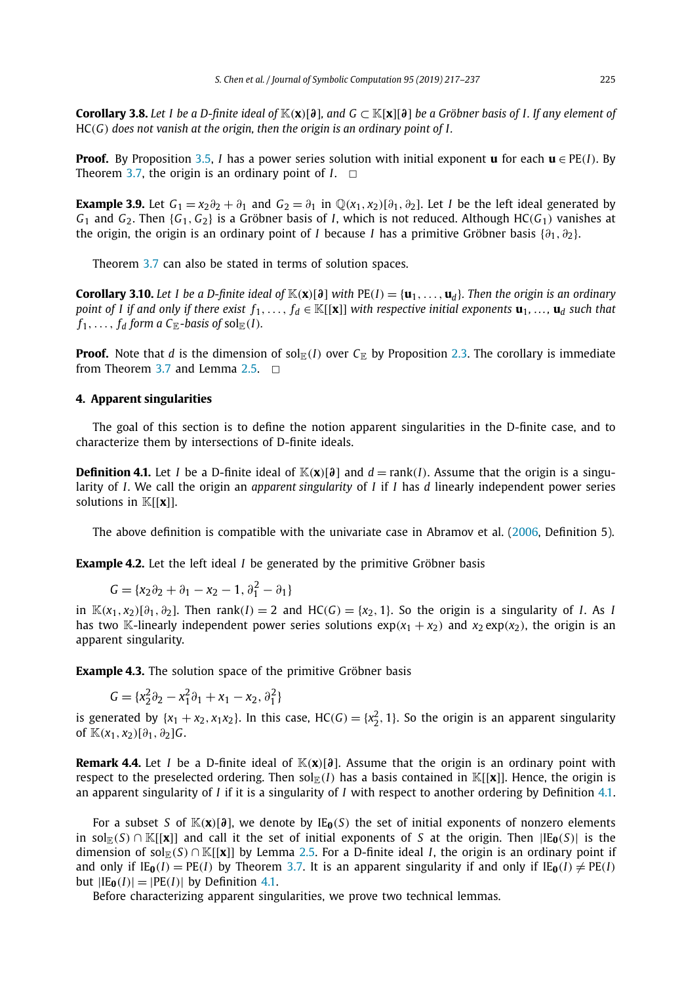<span id="page-8-0"></span>**Corollary 3.8.** Let I be a D-finite ideal of  $\mathbb{K}(x)[\partial]$ , and  $G \subset \mathbb{K}[x][\partial]$  be a Gröbner basis of I. If any element of HC*(G) does not vanish at the origin, then the origin is an ordinary point of I.*

**Proof.** By Proposition [3.5,](#page-5-0) *I* has a power series solution with initial exponent **u** for each **u** ∈ PE(*I*). By Theorem [3.7,](#page-7-0) the origin is an ordinary point of  $I. \square$ 

**Example 3.9.** Let  $G_1 = x_2 \partial_2 + \partial_1$  and  $G_2 = \partial_1$  in  $\mathbb{Q}(x_1, x_2)[\partial_1, \partial_2]$ . Let *I* be the left ideal generated by  $G_1$  and  $G_2$ . Then  $\{G_1, G_2\}$  is a Gröbner basis of *I*, which is not reduced. Although HC( $G_1$ ) vanishes at the origin, the origin is an ordinary point of *I* because *I* has a primitive Gröbner basis  $\{\partial_1, \partial_2\}$ .

Theorem [3.7](#page-7-0) can also be stated in terms of solution spaces.

**Corollary 3.10.** Let *I* be a D-finite ideal of  $\mathbb{K}(x)[\partial]$  with  $PE(I) = \{u_1, \ldots, u_d\}$ . Then the origin is an ordinary point of I if and only if there exist  $f_1, \ldots, f_d \in \mathbb{K}[[\mathbf{x}]]$  with respective initial exponents  $\mathbf{u}_1, \ldots, \mathbf{u}_d$  such that  $f_1, \ldots, f_d$  *form a*  $C_{\mathbb{E}}$ *-basis of* sol $_{\mathbb{E}}(I)$ *.* 

**Proof.** Note that *d* is the dimension of sol<sub>E</sub>(*I*) over  $C_{\mathbb{E}}$  by Proposition [2.3.](#page-3-0) The corollary is immediate from Theorem [3.7](#page-7-0) and Lemma [2.5.](#page-4-0)  $\Box$ 

### **4. Apparent singularities**

The goal of this section is to define the notion apparent singularities in the D-finite case, and to characterize them by intersections of D-finite ideals.

**Definition 4.1.** Let *I* be a D-finite ideal of  $\mathbb{K}(x)$ [*∂*] and  $d = \text{rank}(I)$ . Assume that the origin is a singularity of *I*. We call the origin an *apparent singularity* of *I* if *I* has *d* linearly independent power series solutions in K[[**x**]].

The above definition is compatible with the univariate case in Abramov et al. [\(2006,](#page-20-0) Definition 5).

**Example 4.2.** Let the left ideal *I* be generated by the primitive Gröbner basis

$$
G = \{x_2 \partial_2 + \partial_1 - x_2 - 1, \partial_1^2 - \partial_1\}
$$

in  $\mathbb{K}(x_1, x_2)[\partial_1, \partial_2]$ . Then rank $(I) = 2$  and  $HC(G) = \{x_2, 1\}$ . So the origin is a singularity of I. As I has two K-linearly independent power series solutions  $exp(x_1 + x_2)$  and  $x_2 exp(x_2)$ , the origin is an apparent singularity.

**Example 4.3.** The solution space of the primitive Gröbner basis

$$
G = \{x_2^2 \partial_2 - x_1^2 \partial_1 + x_1 - x_2, \partial_1^2\}
$$

is generated by  $\{x_1 + x_2, x_1x_2\}$ . In this case,  $HC(G) = \{x_2^2, 1\}$ . So the origin is an apparent singularity of  $\mathbb{K}(x_1, x_2)[\partial_1, \partial_2]G$ .

**Remark 4.4.** Let *I* be a D-finite ideal of K*(***x***)*[*∂*]. Assume that the origin is an ordinary point with respect to the preselected ordering. Then  $\text{sol}_{\mathbb{E}}(I)$  has a basis contained in  $\mathbb{K}[[\mathbf{x}]]$ . Hence, the origin is an apparent singularity of *I* if it is a singularity of *I* with respect to another ordering by Definition 4.1.

For a subset *S* of  $\mathbb{K}(x)[\partial]$ , we denote by IE<sub>0</sub>(*S*) the set of initial exponents of nonzero elements in sol<sub>E</sub>(*S*) ∩ K[[**x**]] and call it the set of initial exponents of *S* at the origin. Then  $|IE_0(S)|$  is the dimension of sol<sub>E</sub>(*S*) ∩ K[[**x**]] by Lemma [2.5.](#page-4-0) For a D-finite ideal *I*, the origin is an ordinary point if and only if  $IE_0(I) = PE(I)$  by Theorem [3.7.](#page-7-0) It is an apparent singularity if and only if  $IE_0(I) \neq PE(I)$ but  $|IE_0(I)| = |PE(I)|$  by Definition 4.1.

Before characterizing apparent singularities, we prove two technical lemmas.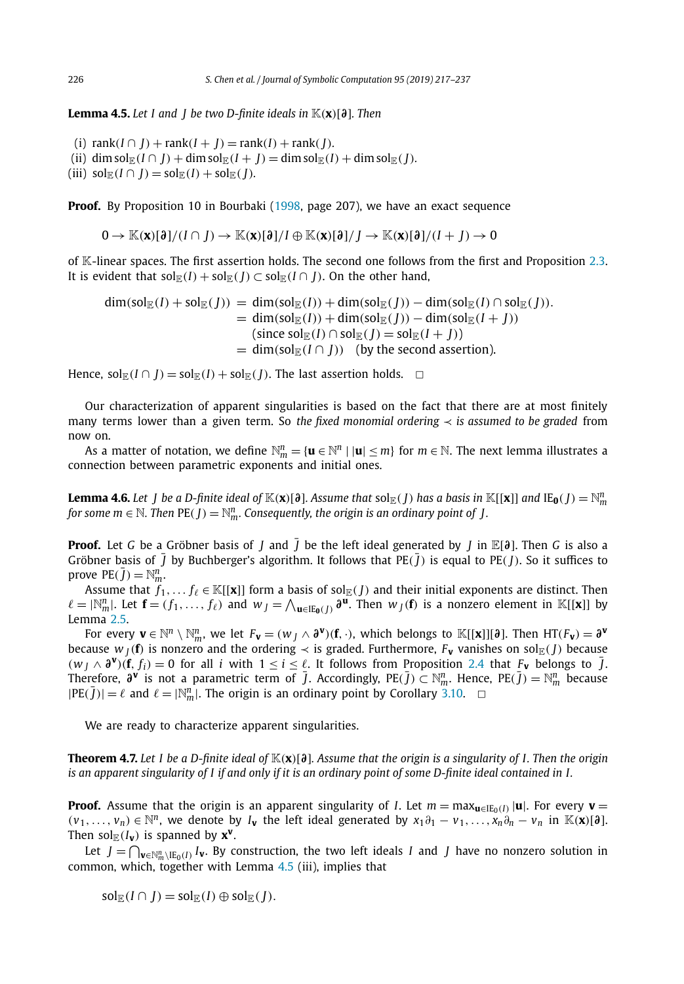<span id="page-9-0"></span>**Lemma 4.5.** *Let I and J be two D-finite ideals in* K*(***x***)*[*∂*]*. Then*

(i)  $\text{rank}(I \cap J) + \text{rank}(I + J) = \text{rank}(I) + \text{rank}(I)$ *.* (ii) dim sol<sub>E</sub>(*I*)  $\cap$  *J*) + dim sol<sub>E</sub>(*I*) + *J*) = dim sol<sub>E</sub>(*I*) + dim sol<sub>E</sub>(*I*)*.*  $(iii)$  sol $\mathbb{E}(I \cap J) = \text{sol}_{\mathbb{E}}(I) + \text{sol}_{\mathbb{E}}(J)$ *.* 

**Proof.** By Proposition 10 in Bourbaki [\(1998,](#page-20-0) page 207), we have an exact sequence

 $0 \to \mathbb{K}(\mathbf{x})[\partial]/(I \cap I) \to \mathbb{K}(\mathbf{x})[\partial]/I \oplus \mathbb{K}(\mathbf{x})[\partial]/I \to \mathbb{K}(\mathbf{x})[\partial]/(I + I) \to 0$ 

of K-linear spaces. The first assertion holds. The second one follows from the first and Proposition [2.3.](#page-3-0) It is evident that  $sol_{\mathbb{E}}(I) + sol_{\mathbb{E}}(I) \subset sol_{\mathbb{E}}(I \cap I)$ . On the other hand,

$$
\dim(\text{sol}_{\mathbb{E}}(I) + \text{sol}_{\mathbb{E}}(J)) = \dim(\text{sol}_{\mathbb{E}}(I)) + \dim(\text{sol}_{\mathbb{E}}(J)) - \dim(\text{sol}_{\mathbb{E}}(I) \cap \text{sol}_{\mathbb{E}}(J)).
$$
  
\n
$$
= \dim(\text{sol}_{\mathbb{E}}(I)) + \dim(\text{sol}_{\mathbb{E}}(J)) - \dim(\text{sol}_{\mathbb{E}}(I + J))
$$
  
\n
$$
= \dim(\text{sol}_{\mathbb{E}}(I) \cap \text{sol}_{\mathbb{E}}(J) = \text{sol}_{\mathbb{E}}(I + J))
$$
  
\n
$$
= \dim(\text{sol}_{\mathbb{E}}(I \cap J)) \quad \text{(by the second assertion).}
$$

Hence,  $\text{sol}_{\mathbb{E}}(I \cap J) = \text{sol}_{\mathbb{E}}(I) + \text{sol}_{\mathbb{E}}(J)$ . The last assertion holds.  $\Box$ 

Our characterization of apparent singularities is based on the fact that there are at most finitely many terms lower than a given term. So *the fixed monomial ordering*  $\prec$  *is assumed to be graded* from now on.

As a matter of notation, we define  $\mathbb{N}_m^n = \{ \mathbf{u} \in \mathbb{N}^n \mid |\mathbf{u}| \leq m \}$  for  $m \in \mathbb{N}$ . The next lemma illustrates a connection between parametric exponents and initial ones.

**Lemma 4.6.** Let  $J$  be a D-finite ideal of  $\mathbb{K}(\mathbf{x})[\partial]$ . Assume that  $\mathrm{sol}_\mathbb{E}(J)$  has a basis in  $\mathbb{K}[[\mathbf{x}]]$  and  $\mathrm{IE}_0(J) = \mathbb{N}^n_m$ for some  $m \in \mathbb{N}$ . Then  $\mathrm{PE}(J) = \mathbb{N}_m^n$ . Consequently, the origin is an ordinary point of  $J$ .

**Proof.** Let *G* be a Gröbner basis of *J* and  $\overline{J}$  be the left ideal generated by *J* in  $\mathbb{E}[\partial]$ . Then *G* is also a Gröbner basis of  $\overline{J}$  by Buchberger's algorithm. It follows that PE $(\overline{J})$  is equal to PE $(J)$ . So it suffices to prove  $PE(\bar{J}) = N_m^n$ .

Assume that  $f_1,\ldots f_\ell\in \mathbb{K}[[\mathbf{x}]]$  form a basis of sol $_{\mathbb{E}}(J)$  and their initial exponents are distinct. Then  $\ell = |\mathbb{N}_m^n|$ . Let  $\mathbf{f} = (f_1, \dots, f_\ell)$  and  $w_J = \bigwedge_{\mathbf{u} \in \mathbb{E}_{\mathbf{0}}(J)} \partial^\mathbf{u}$ . Then  $w_J(\mathbf{f})$  is a nonzero element in  $\mathbb{K}[[\mathbf{x}]]$  by Lemma [2.5.](#page-4-0)

For every  $\mathbf{v} \in \mathbb{N}^n \setminus \mathbb{N}^n_m$ , we let  $F_{\mathbf{v}} = (w_J \wedge \partial^{\mathbf{v}})(\mathbf{f}, \cdot)$ , which belongs to  $\mathbb{K}[[\mathbf{x}]][\partial]$ . Then  $\mathrm{HT}(F_{\mathbf{v}}) = \partial^{\mathbf{v}}$ because  $w_I(f)$  is nonzero and the ordering  $\prec$  is graded. Furthermore,  $F_V$  vanishes on sol<sub>E</sub>(*J*) because  $(w_l \wedge \partial^{\mathbf{v}})(\mathbf{f}, f_i) = 0$  for all *i* with  $1 \leq i \leq \ell$ . It follows from Proposition [2.4](#page-3-0) that  $F_{\mathbf{v}}$  belongs to  $\bar{J}$ . Therefore, *∂***<sup>v</sup>** is not a parametric term of ¯*J*. Accordingly, PE*(*¯*J)* ⊂ N*<sup>n</sup> <sup>m</sup>*. Hence, PE*(*¯*J)* <sup>=</sup> <sup>N</sup>*<sup>n</sup> <sup>m</sup>* because  $|PE(\bar{J})| = \ell$  and  $\ell = |\mathbb{N}_m^n|$ . The origin is an ordinary point by Corollary [3.10.](#page-8-0)  $\Box$ 

We are ready to characterize apparent singularities.

**Theorem 4.7.** Let 1 be a D-finite ideal of  $\mathbb{K}(x)[\partial]$ . Assume that the origin is a singularity of I. Then the origin is an apparent singularity of I if and only if it is an ordinary point of some D-finite ideal contained in I.

**Proof.** Assume that the origin is an apparent singularity of *I*. Let  $m = \max_{\mathbf{u} \in \text{IE}_0(I)} |\mathbf{u}|$ . For every  $\mathbf{v} =$  $(v_1,\ldots,v_n)\in\mathbb{N}^n$ , we denote by  $I_{\mathbf{v}}$  the left ideal generated by  $x_1\partial_1-v_1,\ldots,x_n\partial_n-v_n$  in  $\mathbb{K}(\mathbf{x})[\partial]$ . Then sol $_{\mathbb{E}}(I_{\mathbf{v}})$  is spanned by  $\mathbf{x}^{\mathbf{v}}$ .

Let  $J = \bigcap_{\mathbf{v} \in \mathbb{N}_{m}^{n} \setminus E_0(I)} I_{\mathbf{v}}$ . By construction, the two left ideals *I* and *J* have no nonzero solution in common, which, together with Lemma 4.5 (iii), implies that

 $\text{sol}_{\mathbb{F}}(I \cap I) = \text{sol}_{\mathbb{F}}(I) \oplus \text{sol}_{\mathbb{F}}(I).$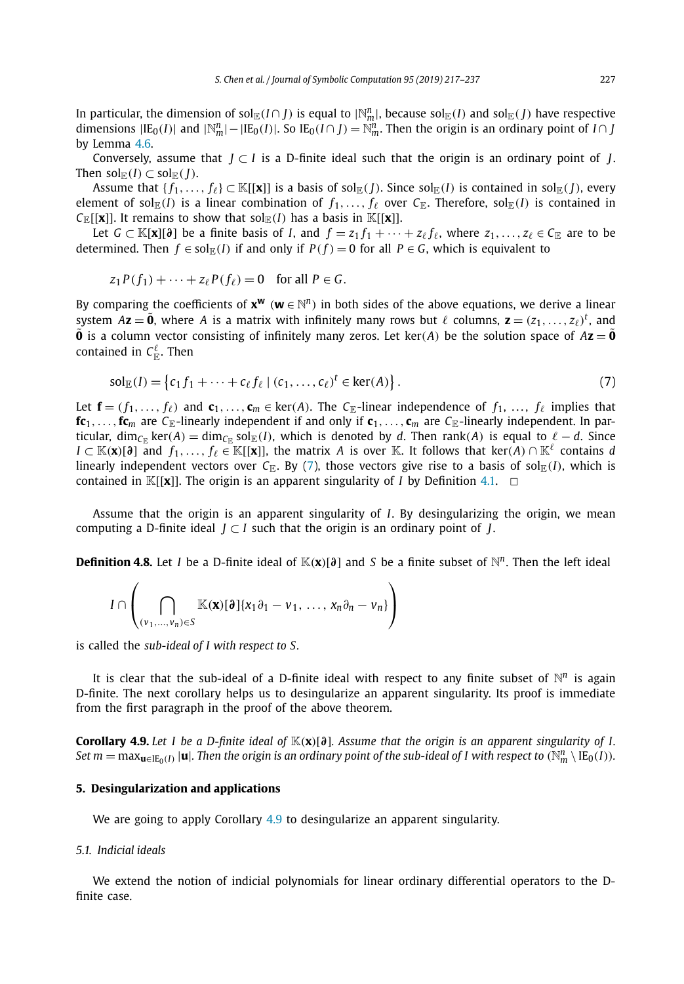<span id="page-10-0"></span>In particular, the dimension of  $\mathrm{sol}_\mathbb{E}(I\cap J)$  is equal to  $|\mathbb{N}_m^n|$ , because  $\mathrm{sol}_\mathbb{E}(I)$  and  $\mathrm{sol}_\mathbb{E}(J)$  have respective dimensions  $|IE_0(I)|$  and  $|\mathbb{N}_m^n| - |IE_0(I)|$ . So  $IE_0(I \cap J) = \mathbb{N}_m^n$ . Then the origin is an ordinary point of *I* ∩ *J* by Lemma [4.6.](#page-9-0)

Conversely, assume that *J* ⊂ *I* is a D-finite ideal such that the origin is an ordinary point of *J*. Then  $\text{sol}_{\mathbb{E}}(I) \subset \text{sol}_{\mathbb{E}}(I)$ .

Assume that  $\{f_1, \ldots, f_\ell\} \subset \mathbb{K}[[\mathbf{x}]]$  is a basis of sol<sub>E</sub>(*J*). Since sol<sub>E</sub>(*I*) is contained in sol<sub>E</sub>(*I*), every element of sol $_{\mathbb{F}_p}(I)$  is a linear combination of  $f_1,\ldots,f_\ell$  over  $C_{\mathbb{F}_p}$ . Therefore, sol $_{\mathbb{F}_p}(I)$  is contained in  $C_{\mathbb{E}}[[\mathbf{x}]]$ . It remains to show that  $\text{sol}_{\mathbb{E}}(I)$  has a basis in  $\mathbb{K}[[\mathbf{x}]]$ .

Let *G* ⊂ K[**x**][∂] be a finite basis of *I*, and  $f = z_1 f_1 + \cdots + z_\ell f_\ell$ , where  $z_1, \ldots, z_\ell \in C_{\mathbb{F}}$  are to be determined. Then  $f \in sol_{\mathbb{E}}(I)$  if and only if  $P(f) = 0$  for all  $P \in G$ , which is equivalent to

$$
z_1 P(f_1) + \cdots + z_\ell P(f_\ell) = 0 \quad \text{for all } P \in G.
$$

By comparing the coefficients of  $x^w$  ( $w \in \mathbb{N}^n$ ) in both sides of the above equations, we derive a linear system  $A$ **z** =  $\tilde{\bf{0}}$ , where A is a matrix with infinitely many rows but  $\ell$  columns,  ${\bf z} = (z_1,\ldots,z_\ell)^t$ , and  $\tilde{\mathbf{0}}$  is a column vector consisting of infinitely many zeros. Let ker(*A*) be the solution space of  $A\mathbf{z} = \tilde{\mathbf{0}}$ contained in  $\mathsf{C}_\mathbb{E}^\ell.$  Then

$$
sol_{\mathbb{E}}(I) = \left\{c_1 f_1 + \dots + c_{\ell} f_{\ell} \mid (c_1, \dots, c_{\ell})^t \in \ker(A) \right\}.
$$
 (7)

Let  $\mathbf{f} = (f_1, \ldots, f_\ell)$  and  $\mathbf{c}_1, \ldots, \mathbf{c}_m \in \text{ker}(A)$ . The *C*<sub>E</sub>-linear independence of  $f_1, \ldots, f_\ell$  implies that  $f{c_1}, \ldots, f{c_m}$  are  $C_{\mathbb{E}}$ -linearly independent if and only if  ${c_1}, \ldots, {c_m}$  are  $C_{\mathbb{E}}$ -linearly independent. In particular, dim<sub>*C*E</sub> ker(*A*) = dim<sub>*C*E</sub> sol<sub>E</sub>(*I*), which is denoted by *d*. Then rank(*A*) is equal to  $\ell - d$ . Since *I* ⊂ K(**x**)[ $\partial$ ] and *f*<sub>1</sub>,..., *f*<sub>l</sub> ∈ K[[**x**]], the matrix *A* is over K. It follows that ker(*A*) ∩ K<sup>l</sup> contains *d* linearly independent vectors over  $C_{\mathbb{R}}$ . By (7), those vectors give rise to a basis of sol $_{\mathbb{R}}(I)$ , which is contained in  $\mathbb{K}[[\mathbf{x}]]$ . The origin is an apparent singularity of *I* by Definition [4.1.](#page-8-0)  $\Box$ 

Assume that the origin is an apparent singularity of *I*. By desingularizing the origin, we mean computing a D-finite ideal  $J \subset I$  such that the origin is an ordinary point of  $J$ .

**Definition 4.8.** Let *I* be a D-finite ideal of  $\mathbb{K}(x)[\partial]$  and *S* be a finite subset of  $\mathbb{N}^n$ . Then the left ideal

$$
I \cap \left( \bigcap_{(\nu_1,\ldots,\nu_n)\in S} \mathbb{K}(\mathbf{x})[\partial]\{x_1\partial_1-\nu_1,\ldots,x_n\partial_n-\nu_n\}\right)
$$

is called the *sub-ideal of I with respect to S.*

It is clear that the sub-ideal of a D-finite ideal with respect to any finite subset of  $\mathbb{N}^n$  is again D-finite. The next corollary helps us to desingularize an apparent singularity. Its proof is immediate from the first paragraph in the proof of the above theorem.

**Corollary 4.9.** Let I be a D-finite ideal of  $\mathbb{K}(x)[\partial]$ . Assume that the origin is an apparent singularity of I. Set  $m=\max_{\mathbf{u}\in\text{IE}_0(I)}|\mathbf{u}|$ . Then the origin is an ordinary point of the sub-ideal of I with respect to  $(\mathbb{N}_m^n\setminus\text{IE}_0(I)).$ 

### **5. Desingularization and applications**

We are going to apply Corollary 4.9 to desingularize an apparent singularity.

### *5.1. Indicial ideals*

We extend the notion of indicial polynomials for linear ordinary differential operators to the Dfinite case.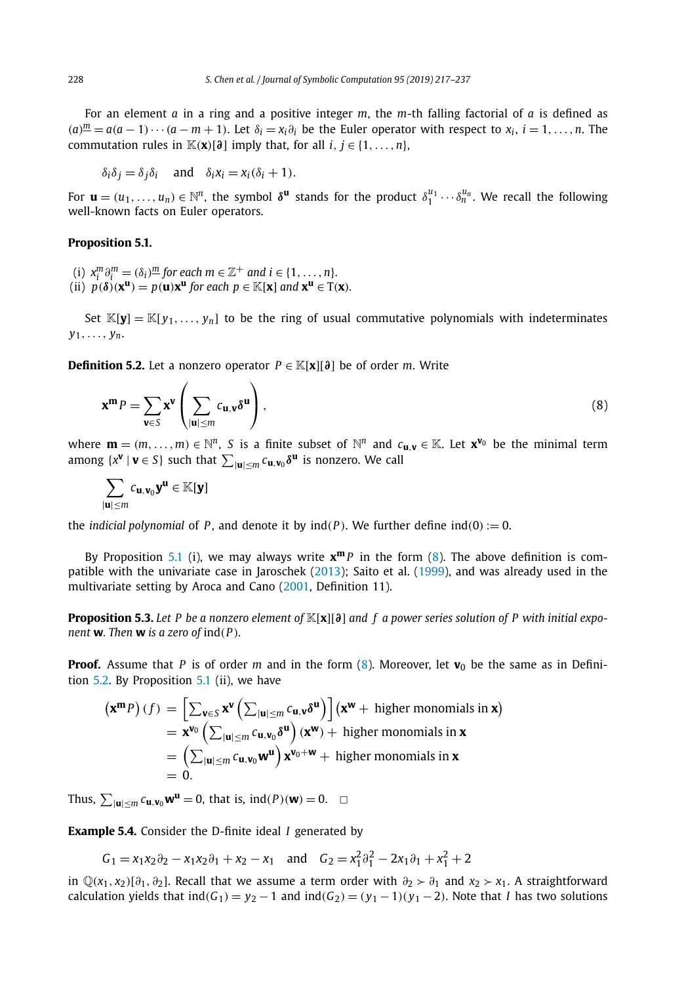<span id="page-11-0"></span>For an element *a* in a ring and a positive integer *m*, the *m*-th falling factorial of *a* is defined as  $(a)\frac{m}{2} = a(a-1)\cdots(a-m+1)$ . Let  $\delta_i = x_i \partial_i$  be the Euler operator with respect to  $x_i$ ,  $i = 1, \ldots, n$ . The commutation rules in  $\mathbb{K}(\mathbf{x})[\partial]$  imply that, for all *i*,  $j \in \{1, \ldots, n\}$ ,

$$
\delta_i \delta_j = \delta_j \delta_i \quad \text{and} \quad \delta_i x_i = x_i (\delta_i + 1).
$$

For  $\mathbf{u} = (u_1, \ldots, u_n) \in \mathbb{N}^n$ , the symbol  $\delta^{\mathbf{u}}$  stands for the product  $\delta_1^{u_1} \cdots \delta_n^{u_n}$ . We recall the following well-known facts on Euler operators.

### **Proposition 5.1.**

- (i)  $x_i^m \partial_i^m = (\delta_i)^m$  for each  $m \in \mathbb{Z}^+$  and  $i \in \{1, \ldots, n\}$ .
- (ii)  $p(\delta)(\mathbf{x}^{\mathbf{u}}) = p(\mathbf{u})\mathbf{x}^{\mathbf{u}}$  for each  $p \in \mathbb{K}[\mathbf{x}]$  and  $\mathbf{x}^{\mathbf{u}} \in \mathrm{T}(\mathbf{x})$ *.*

Set  $\mathbb{K}[\mathbf{y}] = \mathbb{K}[y_1, \dots, y_n]$  to be the ring of usual commutative polynomials with indeterminates *y*1*,..., yn*.

**Definition 5.2.** Let a nonzero operator  $P \in K[x][\partial]$  be of order *m*. Write

$$
\mathbf{x}^{\mathbf{m}}P = \sum_{\mathbf{v} \in S} \mathbf{x}^{\mathbf{v}} \left( \sum_{|\mathbf{u}| \le m} c_{\mathbf{u},\mathbf{v}} \delta^{\mathbf{u}} \right),\tag{8}
$$

where  $\mathbf{m} = (m, \ldots, m) \in \mathbb{N}^n$ , *S* is a finite subset of  $\mathbb{N}^n$  and  $c_{\mathbf{u},\mathbf{v}} \in \mathbb{K}$ . Let  $\mathbf{x}^{\mathbf{v}_0}$  be the minimal term among  $\{x^{\mathbf{v}} \mid \mathbf{v} \in S\}$  such that  $\sum_{|\mathbf{u}| \leq m} c_{\mathbf{u},\mathbf{v}_0} \delta^{\mathbf{u}}$  is nonzero. We call

$$
\sum_{|\mathbf{u}|\leq m}c_{\mathbf{u},\mathbf{v}_0}\mathbf{y}^{\mathbf{u}}\in\mathbb{K}[\mathbf{y}]
$$

the *indicial polynomial* of *P*, and denote it by  $\text{ind}(P)$ . We further define  $\text{ind}(0) := 0$ .

By Proposition 5.1 (i), we may always write  $x^m P$  in the form (8). The above definition is compatible with the univariate case in Jaroschek [\(2013\)](#page-20-0); Saito et al. [\(1999\)](#page-20-0), and was already used in the multivariate setting by Aroca and Cano [\(2001,](#page-20-0) Definition 11).

**Proposition 5.3.** Let P be a nonzero element of  $\mathbb{K}[x][\partial]$  and f a power series solution of P with initial expo*nent* **w***. Then* **w** *is a zero of* ind*(P).*

**Proof.** Assume that *P* is of order *m* and in the form  $(8)$ . Moreover, let **v**<sub>0</sub> be the same as in Definition  $5.2$ . By Proposition  $5.1$  (ii), we have

$$
(\mathbf{x}^{\mathbf{m}} P) (f) = \left[ \sum_{\mathbf{v} \in S} \mathbf{x}^{\mathbf{v}} \left( \sum_{|\mathbf{u}| \le m} c_{\mathbf{u},\mathbf{v}} \delta^{\mathbf{u}} \right) \right] (\mathbf{x}^{\mathbf{w}} + \text{ higher monomials in } \mathbf{x})
$$
  
=  $\mathbf{x}^{\mathbf{v}_0} \left( \sum_{|\mathbf{u}| \le m} c_{\mathbf{u},\mathbf{v}_0} \delta^{\mathbf{u}} \right) (\mathbf{x}^{\mathbf{w}}) + \text{higher monomials in } \mathbf{x}$   
=  $\left( \sum_{|\mathbf{u}| \le m} c_{\mathbf{u},\mathbf{v}_0} \mathbf{w}^{\mathbf{u}} \right) \mathbf{x}^{\mathbf{v}_0 + \mathbf{w}} + \text{higher monomials in } \mathbf{x}$   
= 0.

Thus,  $\sum_{|\mathbf{u}| \le m} c_{\mathbf{u},\mathbf{v}_0} \mathbf{w}^{\mathbf{u}} = 0$ , that is, ind(*P*)(**w**) = 0. ◯

**Example 5.4.** Consider the D-finite ideal *I* generated by

 $G_1 = x_1x_2\partial_2 - x_1x_2\partial_1 + x_2 - x_1$  and  $G_2 = x_1^2\partial_1^2 - 2x_1\partial_1 + x_1^2 + 2$ 

in  $\mathbb{Q}(x_1, x_2)$ [ $\partial_1, \partial_2$ ]. Recall that we assume a term order with  $\partial_2 \succ \partial_1$  and  $x_2 > x_1$ . A straightforward calculation yields that  $ind(G_1) = y_2 - 1$  and  $ind(G_2) = (y_1 - 1)(y_1 - 2)$ . Note that *I* has two solutions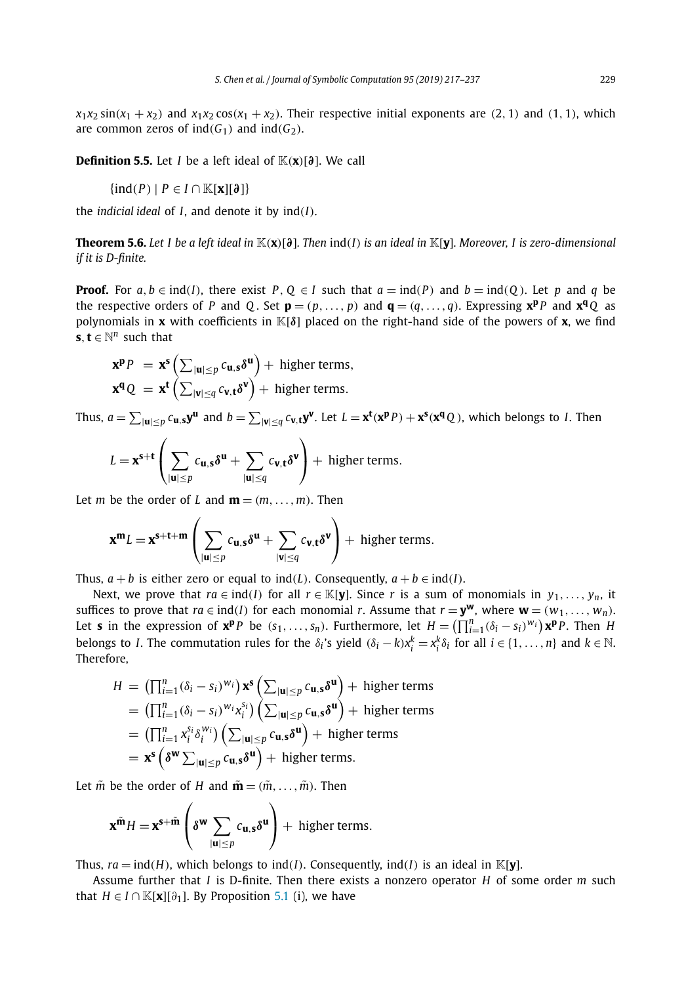<span id="page-12-0"></span> $x_1x_2 \sin(x_1 + x_2)$  and  $x_1x_2 \cos(x_1 + x_2)$ . Their respective initial exponents are (2, 1) and (1, 1), which are common zeros of  $ind(G_1)$  and  $ind(G_2)$ .

**Definition 5.5.** Let *I* be a left ideal of  $K(\mathbf{x})[\partial]$ . We call

$$
\{\text{ind}(P) \mid P \in I \cap \mathbb{K}[\mathbf{x}][\mathfrak{d}]\}
$$

the *indicial ideal* of *I*, and denote it by  $ind(I)$ .

**Theorem 5.6.** Let I be a left ideal in  $\mathbb{K}(x)[\partial]$ . Then  $ind(I)$  is an ideal in  $\mathbb{K}[y]$ . Moreover, I is zero-dimensional *if it is D-finite.*

**Proof.** For  $a, b \in \text{ind}(I)$ , there exist P,  $Q \in I$  such that  $a = \text{ind}(P)$  and  $b = \text{ind}(Q)$ . Let p and q be the respective orders of P and Q. Set  $\mathbf{p} = (p, \dots, p)$  and  $\mathbf{q} = (q, \dots, q)$ . Expressing  $\mathbf{x}^{\mathbf{p}}$ P and  $\mathbf{x}^{\mathbf{q}}$ Q as polynomials in **x** with coefficients in K[*δ*] placed on the right-hand side of the powers of **x**, we find **s***,***t** ∈  $\mathbb{N}^n$  such that

$$
\mathbf{x}^{\mathbf{p}}P = \mathbf{x}^{\mathbf{s}} \left( \sum_{|\mathbf{u}| \leq p} c_{\mathbf{u},\mathbf{s}} \delta^{\mathbf{u}} \right) + \text{higher terms},
$$
  

$$
\mathbf{x}^{\mathbf{q}}Q = \mathbf{x}^{\mathbf{t}} \left( \sum_{|\mathbf{v}| \leq q} c_{\mathbf{v},\mathbf{t}} \delta^{\mathbf{v}} \right) + \text{higher terms}.
$$

Thus,  $a=\sum_{|\textbf{u}|\leq p}c_{\textbf{u},\textbf{s}}\textbf{y}^{\textbf{u}}$  and  $b=\sum_{|\textbf{v}|\leq q}c_{\textbf{v},\textbf{t}}\textbf{y}^{\textbf{v}}.$  Let  $L=\textbf{x}^{\textbf{t}}(\textbf{x}^{\textbf{p}}P)+\textbf{x}^{\textbf{s}}(\textbf{x}^{\textbf{q}}Q)$ , which belongs to *I*. Then

$$
L = \mathbf{x}^{\mathbf{s}+\mathbf{t}} \left( \sum_{|\mathbf{u}| \leq p} c_{\mathbf{u},\mathbf{s}} \delta^{\mathbf{u}} + \sum_{|\mathbf{u}| \leq q} c_{\mathbf{v},\mathbf{t}} \delta^{\mathbf{v}} \right) + \text{ higher terms.}
$$

Let *m* be the order of *L* and  $\mathbf{m} = (m, \ldots, m)$ . Then

$$
\mathbf{x}^{\mathbf{m}}L = \mathbf{x}^{\mathbf{s}+\mathbf{t}+\mathbf{m}}\left(\sum_{|\mathbf{u}|\leq p}c_{\mathbf{u},\mathbf{s}}\delta^{\mathbf{u}} + \sum_{|\mathbf{v}|\leq q}c_{\mathbf{v},\mathbf{t}}\delta^{\mathbf{v}}\right) + \text{ higher terms}.
$$

Thus,  $a + b$  is either zero or equal to  $ind(L)$ . Consequently,  $a + b \in ind(I)$ .

Next, we prove that  $ra \in ind(I)$  for all  $r \in \mathbb{K}[y]$ . Since r is a sum of monomials in  $y_1, \ldots, y_n$ , it suffices to prove that  $ra \in ind(I)$  for each monomial *r*. Assume that  $r = y^w$ , where  $w = (w_1, \ldots, w_n)$ . Let **s** in the expression of  $\mathbf{x}^{\mathbf{p}} P$  be  $(s_1, ..., s_n)$ . Furthermore, let  $H = \left(\prod_{i=1}^{n} (\delta_i - s_i)^{w_i}\right) \mathbf{x}^{\mathbf{p}} P$ . Then H belongs to *I*. The commutation rules for the  $\delta_i$ 's yield  $(\delta_i - k)x_i^k = x_i^k \delta_i$  for all  $i \in \{1, ..., n\}$  and  $k \in \mathbb{N}$ . Therefore,

$$
H = \left(\prod_{i=1}^{n} (\delta_i - s_i)^{w_i}\right) \mathbf{x}^s \left(\sum_{|\mathbf{u}| \leq p} c_{\mathbf{u},s} \delta^{\mathbf{u}}\right) + \text{higher terms}
$$
  
\n
$$
= \left(\prod_{i=1}^{n} (\delta_i - s_i)^{w_i} x_i^{s_i}\right) \left(\sum_{|\mathbf{u}| \leq p} c_{\mathbf{u},s} \delta^{\mathbf{u}}\right) + \text{higher terms}
$$
  
\n
$$
= \left(\prod_{i=1}^{n} x_i^{s_i} \delta_i^{w_i}\right) \left(\sum_{|\mathbf{u}| \leq p} c_{\mathbf{u},s} \delta^{\mathbf{u}}\right) + \text{higher terms}
$$
  
\n
$$
= \mathbf{x}^s \left(\delta^{\mathbf{w}} \sum_{|\mathbf{u}| \leq p} c_{\mathbf{u},s} \delta^{\mathbf{u}}\right) + \text{higher terms}.
$$

Let  $\tilde{m}$  be the order of *H* and  $\tilde{m} = (\tilde{m}, \ldots, \tilde{m})$ . Then

$$
\mathbf{x}^{\tilde{\mathbf{m}}}H = \mathbf{x}^{\mathbf{s}+\tilde{\mathbf{m}}}\left(\delta^{\mathbf{w}} \sum_{|\mathbf{u}|\leq p} c_{\mathbf{u},\mathbf{s}}\delta^{\mathbf{u}}\right) + \text{ higher terms}.
$$

Thus,  $ra = ind(H)$ , which belongs to  $ind(I)$ . Consequently,  $ind(I)$  is an ideal in K[**y**].

Assume further that *I* is D-finite. Then there exists a nonzero operator *H* of some order *m* such that *H* ∈ *I* ∩  $\mathbb{K}[\mathbf{x}][\partial_1]$ . By Proposition [5.1](#page-11-0) (i), we have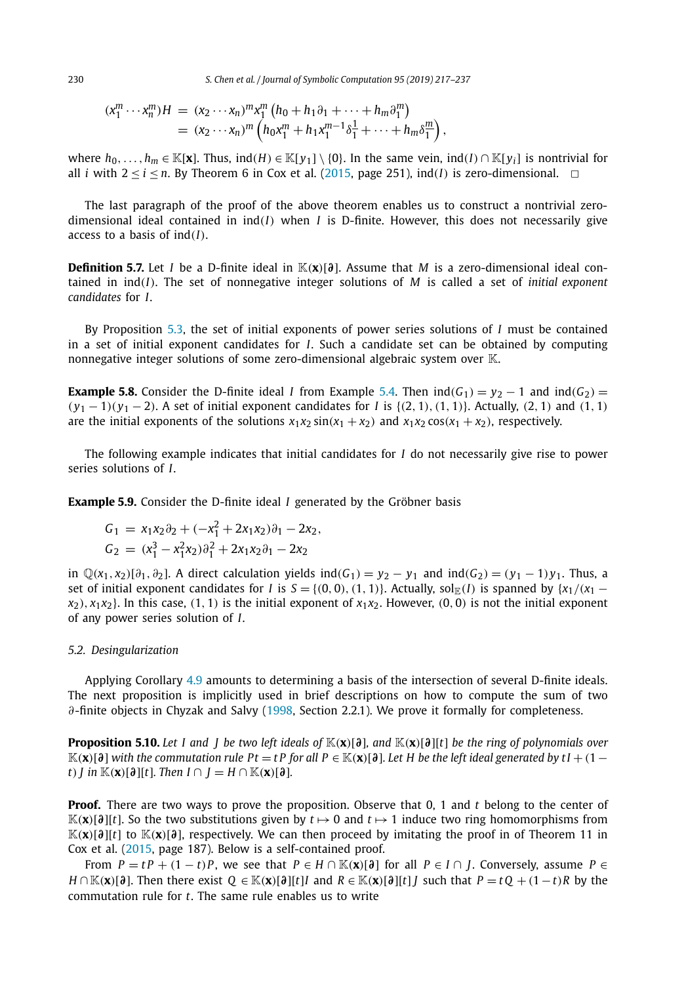<span id="page-13-0"></span>230 *S. Chen et al. / Journal of Symbolic Computation 95 (2019) 217–237*

$$
\begin{array}{l}\n(x_1^m \cdots x_n^m)H = (x_2 \cdots x_n)^m x_1^m \left( h_0 + h_1 \partial_1 + \cdots + h_m \partial_1^m \right) \\
= (x_2 \cdots x_n)^m \left( h_0 x_1^m + h_1 x_1^{m-1} \delta_1^1 + \cdots + h_m \delta_1^m \right),\n\end{array}
$$

where  $h_0, \ldots, h_m \in \mathbb{K}[\mathbf{x}]$ . Thus,  $\text{ind}(H) \in \mathbb{K}[y_1] \setminus \{0\}$ . In the same vein,  $\text{ind}(I) \cap \mathbb{K}[y_i]$  is nontrivial for all *i* with  $2 \le i \le n$ . By Theorem 6 in Cox et al. [\(2015,](#page-20-0) page 251), ind(*I*) is zero-dimensional.  $\Box$ 

The last paragraph of the proof of the above theorem enables us to construct a nontrivial zerodimensional ideal contained in ind*(I)* when *I* is D-finite. However, this does not necessarily give access to a basis of ind*(I)*.

**Definition 5.7.** Let *I* be a D-finite ideal in  $\mathbb{K}(\mathbf{x})[\partial]$ . Assume that *M* is a zero-dimensional ideal contained in ind*(I)*. The set of nonnegative integer solutions of *M* is called a set of *initial exponent candidates* for *I*.

By Proposition [5.3,](#page-11-0) the set of initial exponents of power series solutions of *I* must be contained in a set of initial exponent candidates for *I*. Such a candidate set can be obtained by computing nonnegative integer solutions of some zero-dimensional algebraic system over K.

**Example 5.8.** Consider the D-finite ideal *I* from Example [5.4.](#page-11-0) Then  $ind(G_1) = y_2 - 1$  and  $ind(G_2) =$  $(y_1 - 1)(y_1 - 2)$ . A set of initial exponent candidates for I is  $\{(2, 1), (1, 1)\}$ . Actually,  $(2, 1)$  and  $(1, 1)$ are the initial exponents of the solutions  $x_1x_2 \sin(x_1 + x_2)$  and  $x_1x_2 \cos(x_1 + x_2)$ , respectively.

The following example indicates that initial candidates for *I* do not necessarily give rise to power series solutions of *I*.

**Example 5.9.** Consider the D-finite ideal *I* generated by the Gröbner basis

$$
G_1 = x_1x_2\partial_2 + (-x_1^2 + 2x_1x_2)\partial_1 - 2x_2,
$$
  
\n
$$
G_2 = (x_1^3 - x_1^2x_2)\partial_1^2 + 2x_1x_2\partial_1 - 2x_2
$$

in  $\mathbb{Q}(x_1, x_2)[\partial_1, \partial_2]$ . A direct calculation yields  $ind(G_1) = y_2 - y_1$  and  $ind(G_2) = (y_1 - 1)y_1$ . Thus, a set of initial exponent candidates for *I* is  $S = \{(0,0), (1,1)\}$ . Actually, sol<sub>E</sub>(*I*) is spanned by  $\{x_1/(x_1$  $x_2$ ,  $x_1x_2$ . In this case, (1, 1) is the initial exponent of  $x_1x_2$ . However, (0, 0) is not the initial exponent of any power series solution of *I*.

#### *5.2. Desingularization*

Applying Corollary [4.9](#page-10-0) amounts to determining a basis of the intersection of several D-finite ideals. The next proposition is implicitly used in brief descriptions on how to compute the sum of two *∂*-finite objects in Chyzak and Salvy [\(1998,](#page-20-0) Section 2.2.1). We prove it formally for completeness.

**Proposition 5.10.** Let I and I be two left ideals of  $\mathbb{K}(x)[\partial]$ , and  $\mathbb{K}(x)[\partial]$  be the ring of polynomials over  $\mathbb{K}(x)[\partial]$  with the commutation rule Pt = tP for all P  $\in \mathbb{K}(x)[\partial]$ . Let H be the left ideal generated by t I + (1 – *t*) *I* in  $\mathbb{K}(\mathbf{x})[\partial][t]$ *. Then*  $I \cap I = H \cap \mathbb{K}(\mathbf{x})[\partial]$ *.* 

**Proof.** There are two ways to prove the proposition. Observe that 0, 1 and *t* belong to the center of  $\mathbb{K}(\mathbf{x})[\partial][t]$ . So the two substitutions given by  $t \mapsto 0$  and  $t \mapsto 1$  induce two ring homomorphisms from K*(***x***)*[*∂*][*t*] to K*(***x***)*[*∂*], respectively. We can then proceed by imitating the proof in of Theorem 11 in Cox et al. [\(2015,](#page-20-0) page 187). Below is a self-contained proof.

From  $P = tP + (1 - t)P$ , we see that  $P \in H \cap \mathbb{K}(\mathbf{x})[\mathfrak{d}]$  for all  $P \in I \cap J$ . Conversely, assume  $P \in$  $H \cap \mathbb{K}(\mathbf{x})[\partial]$ . Then there exist  $Q \in \mathbb{K}(\mathbf{x})[\partial][t]$  and  $R \in \mathbb{K}(\mathbf{x})[\partial][t]$  such that  $P = tQ + (1-t)R$  by the commutation rule for *t*. The same rule enables us to write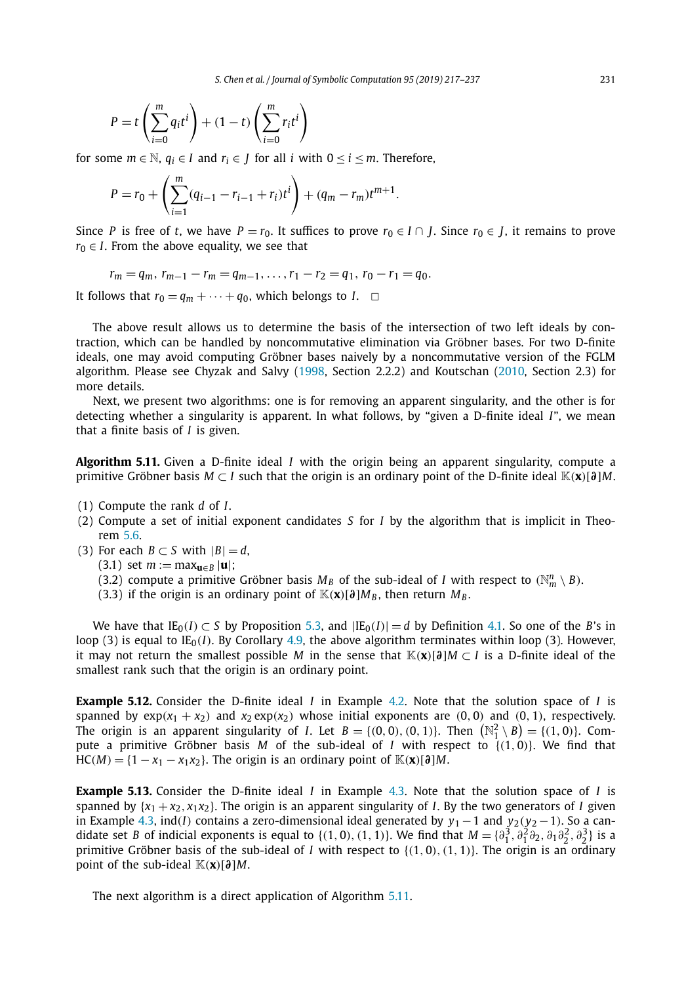<span id="page-14-0"></span>
$$
P = t\left(\sum_{i=0}^{m} q_i t^i\right) + (1-t)\left(\sum_{i=0}^{m} r_i t^i\right)
$$

for some  $m \in \mathbb{N}$ ,  $a_i \in I$  and  $r_i \in I$  for all *i* with  $0 \le i \le m$ . Therefore,

$$
P = r_0 + \left(\sum_{i=1}^m (q_{i-1} - r_{i-1} + r_i)t^i\right) + (q_m - r_m)t^{m+1}.
$$

Since *P* is free of *t*, we have  $P = r_0$ . It suffices to prove  $r_0 \in I \cap J$ . Since  $r_0 \in J$ , it remains to prove  $r_0 \in I$ . From the above equality, we see that

 $r_m = q_m, r_{m-1} - r_m = q_{m-1}, \ldots, r_1 - r_2 = q_1, r_0 - r_1 = q_0.$ 

It follows that  $r_0 = q_m + \cdots + q_0$ , which belongs to *I*.  $\Box$ 

The above result allows us to determine the basis of the intersection of two left ideals by contraction, which can be handled by noncommutative elimination via Gröbner bases. For two D-finite ideals, one may avoid computing Gröbner bases naively by a noncommutative version of the FGLM algorithm. Please see Chyzak and Salvy [\(1998,](#page-20-0) Section 2.2.2) and Koutschan [\(2010,](#page-20-0) Section 2.3) for more details.

Next, we present two algorithms: one is for removing an apparent singularity, and the other is for detecting whether a singularity is apparent. In what follows, by "given a D-finite ideal *I*", we mean that a finite basis of *I* is given.

**Algorithm 5.11.** Given a D-finite ideal *I* with the origin being an apparent singularity, compute a primitive Gröbner basis  $M \subset I$  such that the origin is an ordinary point of the D-finite ideal  $K(\mathbf{x})[\partial M]$ .

- (1) Compute the rank *d* of *I*.
- (2) Compute a set of initial exponent candidates *S* for *I* by the algorithm that is implicit in Theorem [5.6.](#page-12-0)
- (3) For each *B*  $\subset$  *S* with  $|B|$  = *d*,
	- $(3.1)$  set  $m := \max_{u \in B} |u|$ ;
	- (3.2) compute a primitive Gröbner basis  $M_B$  of the sub-ideal of *I* with respect to  $(\mathbb{N}_m^n \setminus B)$ .
	- (3.3) if the origin is an ordinary point of  $\mathbb{K}(\mathbf{x})[\partial]M_B$ , then return  $M_B$ .

We have that  $IE_0(I) \subset S$  by Proposition [5.3,](#page-11-0) and  $|IE_0(I)| = d$  by Definition [4.1.](#page-8-0) So one of the *B*'s in loop (3) is equal to  $IE_0(I)$ . By Corollary [4.9,](#page-10-0) the above algorithm terminates within loop (3). However, it may not return the smallest possible *M* in the sense that  $\mathbb{K}(x)[\partial M \subset I$  is a D-finite ideal of the smallest rank such that the origin is an ordinary point.

**Example 5.12.** Consider the D-finite ideal *I* in Example [4.2.](#page-8-0) Note that the solution space of *I* is spanned by  $exp(x_1 + x_2)$  and  $x_2 exp(x_2)$  whose initial exponents are  $(0, 0)$  and  $(0, 1)$ , respectively. The origin is an apparent singularity of *I*. Let  $B = \{(0,0), (0,1)\}$ . Then  $(\mathbb{N}_1^2 \setminus B) = \{(1,0)\}$ . Compute a primitive Gröbner basis *M* of the sub-ideal of *I* with respect to {*(*1*,* 0*)*}. We find that  $HC(M) = \{1 - x_1 - x_1x_2\}$ . The origin is an ordinary point of  $\mathbb{K}(x)[\partial M]$ .

**Example 5.13.** Consider the D-finite ideal *I* in Example [4.3.](#page-8-0) Note that the solution space of *I* is spanned by  $\{x_1 + x_2, x_1x_2\}$ . The origin is an apparent singularity of *I*. By the two generators of *I* given in Example [4.3,](#page-8-0) ind(*I*) contains a zero-dimensional ideal generated by  $y_1 - 1$  and  $y_2(y_2 - 1)$ . So a candidate set *B* of indicial exponents is equal to {(1, 0), (1, 1)}. We find that  $M = \{\partial_1^3, \partial_1^2\partial_2, \partial_1\partial_2^2, \partial_2^3\}$  is a primitive Gröbner basis of the sub-ideal of *I* with respect to {*(*1*,* 0*),(*1*,* 1*)*}. The origin is an ordinary point of the sub-ideal  $\mathbb{K}(\mathbf{x})[\partial M]$ .

The next algorithm is a direct application of Algorithm 5.11.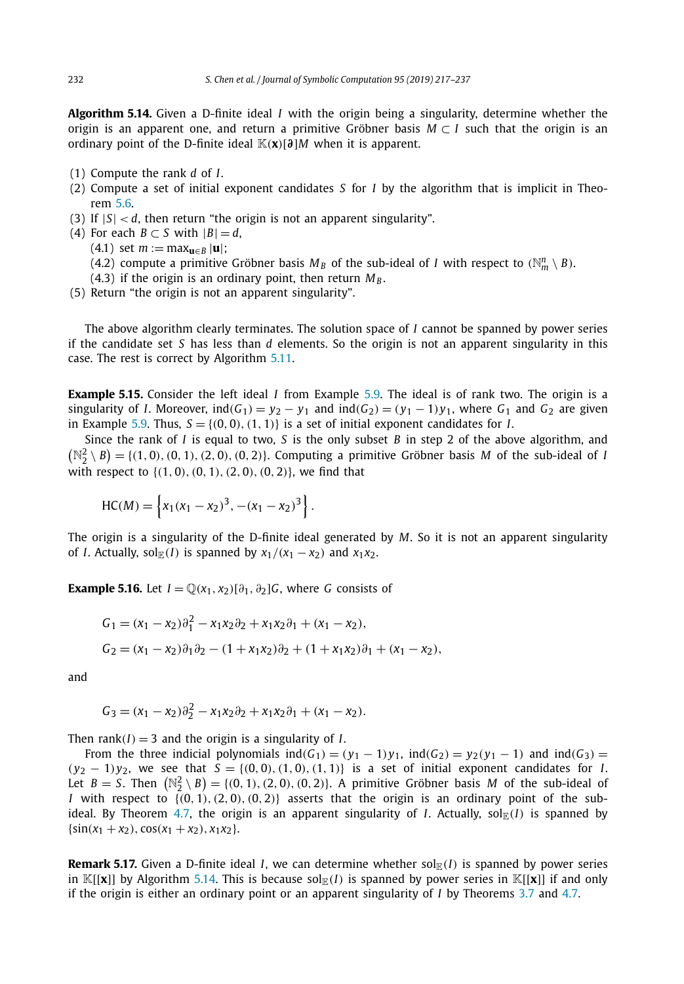<span id="page-15-0"></span>**Algorithm 5.14.** Given a D-finite ideal *I* with the origin being a singularity, determine whether the origin is an apparent one, and return a primitive Gröbner basis *M* ⊂ *I* such that the origin is an ordinary point of the D-finite ideal  $\mathbb{K}(\mathbf{x})[\partial M]$  when it is apparent.

- (1) Compute the rank *d* of *I*.
- (2) Compute a set of initial exponent candidates *S* for *I* by the algorithm that is implicit in Theorem [5.6.](#page-12-0)
- (3) If  $|S| < d$ , then return "the origin is not an apparent singularity".
- (4) For each *B*  $\subset$  *S* with  $|B|$  = *d*,

 $(4.1)$  set  $m := \max_{\mathbf{u} \in B} |\mathbf{u}|$ ;

(4.2) compute a primitive Gröbner basis  $M_B$  of the sub-ideal of *I* with respect to  $(\mathbb{N}_m^n \setminus B)$ .

- (4.3) if the origin is an ordinary point, then return  $M_B$ .
- (5) Return "the origin is not an apparent singularity".

The above algorithm clearly terminates. The solution space of *I* cannot be spanned by power series if the candidate set *S* has less than *d* elements. So the origin is not an apparent singularity in this case. The rest is correct by Algorithm [5.11.](#page-14-0)

**Example 5.15.** Consider the left ideal *I* from Example [5.9.](#page-13-0) The ideal is of rank two. The origin is a singularity of *I*. Moreover,  $ind(G_1) = y_2 - y_1$  and  $ind(G_2) = (y_1 - 1)y_1$ , where  $G_1$  and  $G_2$  are given in Example [5.9.](#page-13-0) Thus,  $S = \{(0, 0), (1, 1)\}$  is a set of initial exponent candidates for *I*.

Since the rank of *I* is equal to two, *S* is the only subset *B* in step 2 of the above algorithm, and  $(N_2^2 \setminus B) = \{(1, 0), (0, 1), (2, 0), (0, 2)\}.$  Computing a primitive Gröbner basis *M* of the sub-ideal of *I* with respect to {*(*1*,* 0*),(*0*,* 1*),(*2*,* 0*),(*0*,* 2*)*}, we find that

$$
HC(M) = \left\{ x_1(x_1 - x_2)^3, -(x_1 - x_2)^3 \right\}.
$$

The origin is a singularity of the D-finite ideal generated by *M*. So it is not an apparent singularity of *I*. Actually, sol $_{\mathbb{F}}(I)$  is spanned by  $x_1/(x_1 - x_2)$  and  $x_1x_2$ .

**Example 5.16.** Let  $I = \mathbb{Q}(x_1, x_2) [\partial_1, \partial_2] G$ , where *G* consists of

$$
G_1 = (x_1 - x_2)\partial_1^2 - x_1x_2\partial_2 + x_1x_2\partial_1 + (x_1 - x_2),
$$
  
\n
$$
G_2 = (x_1 - x_2)\partial_1\partial_2 - (1 + x_1x_2)\partial_2 + (1 + x_1x_2)\partial_1 + (x_1 - x_2),
$$

and

 $G_3 = (x_1 - x_2)\partial_2^2 - x_1x_2\partial_2 + x_1x_2\partial_1 + (x_1 - x_2).$ 

Then  $rank(I) = 3$  and the origin is a singularity of *I*.

From the three indicial polynomials  $ind(G_1) = (y_1 - 1)y_1$ ,  $ind(G_2) = y_2(y_1 - 1)$  and  $ind(G_3) =$  $(y_2 - 1)y_2$ , we see that  $S = \{(0, 0), (1, 0), (1, 1)\}$  is a set of initial exponent candidates for *I*. Let  $B = S$ . Then  $(N_2^2 \setminus B) = \{(0, 1), (2, 0), (0, 2)\}$ . A primitive Gröbner basis *M* of the sub-ideal of *I* with respect to  $\{(0, 1), (2, 0), (0, 2)\}$  asserts that the origin is an ordinary point of the sub-ideal. By Theorem [4.7,](#page-9-0) the origin is an apparent singularity of *I*. Actually, sol<sub>E</sub>(*I*) is spanned by  $\{\sin(x_1 + x_2), \cos(x_1 + x_2), x_1x_2\}.$ 

**Remark 5.17.** Given a D-finite ideal *I*, we can determine whether  $sol_{E}(I)$  is spanned by power series in  $\mathbb{K}[[x]]$  by Algorithm 5.14. This is because sol $\mathbb{E}(I)$  is spanned by power series in  $\mathbb{K}[[x]]$  if and only if the origin is either an ordinary point or an apparent singularity of *I* by Theorems [3.7](#page-7-0) and [4.7.](#page-9-0)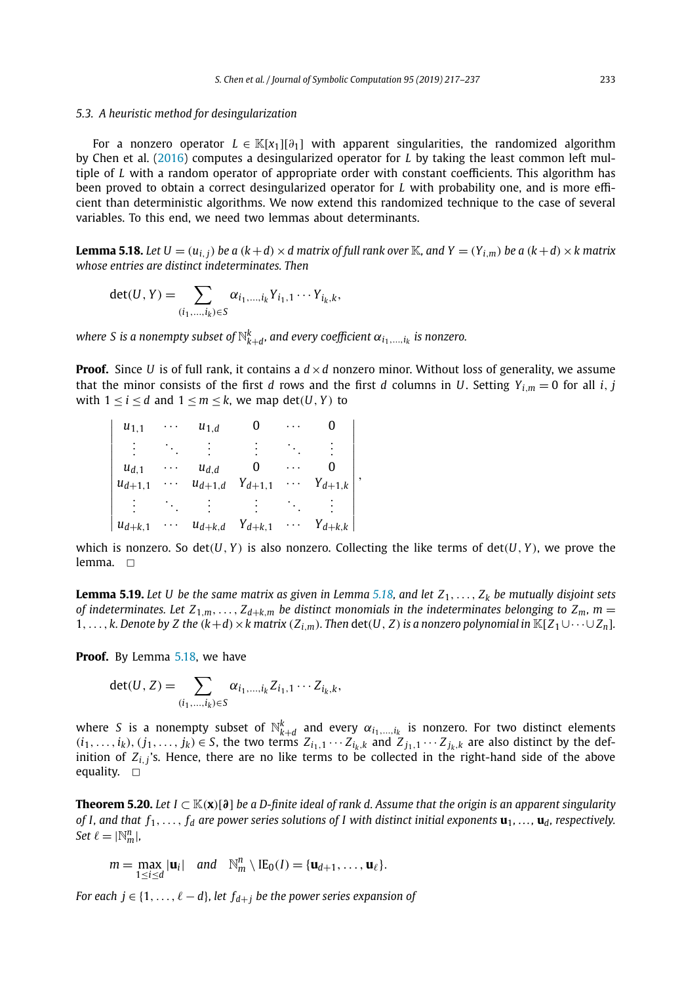#### <span id="page-16-0"></span>*5.3. A heuristic method for desingularization*

For a nonzero operator *L* ∈ K[*x*1][*∂*1] with apparent singularities, the randomized algorithm by Chen et al. [\(2016\)](#page-20-0) computes a desingularized operator for *L* by taking the least common left multiple of *L* with a random operator of appropriate order with constant coefficients. This algorithm has been proved to obtain a correct desingularized operator for *L* with probability one, and is more efficient than deterministic algorithms. We now extend this randomized technique to the case of several variables. To this end, we need two lemmas about determinants.

**Lemma 5.18.** Let  $U = (u_{i,j})$  be a  $(k+d) \times d$  matrix of full rank over K, and  $Y = (Y_{i,m})$  be a  $(k+d) \times k$  matrix *whose entries are distinct indeterminates. Then*

$$
\det(U, Y) = \sum_{(i_1, ..., i_k) \in S} \alpha_{i_1, ..., i_k} Y_{i_1, 1} \cdots Y_{i_k, k},
$$

*where S is a nonempty subset of*  $\mathbb{N}_{k+d}^k$ *, and every coefficient*  $\alpha_{i_1,...,i_k}$  *is nonzero.* 

**Proof.** Since *U* is of full rank, it contains a  $d \times d$  nonzero minor. Without loss of generality, we assume that the minor consists of the first *d* rows and the first *d* columns in *U*. Setting  $Y_{i,m} = 0$  for all *i*, *j* with  $1 \leq i \leq d$  and  $1 \leq m \leq k$ , we map det $(U, Y)$  to

| $u_{1,1}$   | $u_{1,d}$   |             |             |  |
|-------------|-------------|-------------|-------------|--|
|             |             |             |             |  |
| $u_{d,1}$   | $u_{d,d}$   |             |             |  |
| $u_{d+1,1}$ | $u_{d+1,d}$ | $Y_{d+1,1}$ | $Y_{d+1,k}$ |  |
|             |             |             |             |  |
| $u_{d+k,1}$ | $u_{d+k,d}$ | $Y_{d+k,1}$ | $Y_{d+k,k}$ |  |

which is nonzero. So  $det(U, Y)$  is also nonzero. Collecting the like terms of  $det(U, Y)$ , we prove the lemma.  $\Box$ 

**Lemma 5.19.** Let U be the same matrix as given in Lemma 5.18, and let  $Z_1, \ldots, Z_k$  be mutually disjoint sets of indeterminates. Let  $Z_{1,m},\ldots,Z_{d+k,m}$  be distinct monomials in the indeterminates belonging to  $Z_m$ ,  $m=$ 1,..., k. Denote by Z the  $(k+d) \times k$  matrix  $(Z_{i,m})$ . Then det $(U, Z)$  is a nonzero polynomial in  $\mathbb{K}[Z_1 \cup \cdots \cup Z_n]$ .

**Proof.** By Lemma 5.18, we have

 $\overline{\phantom{a}}$  $\overline{\phantom{a}}$  $\overline{\phantom{a}}$  $\overline{\phantom{a}}$  $\overline{\phantom{a}}$  $\overline{\phantom{a}}$  $\overline{\phantom{a}}$  $\overline{\phantom{a}}$  $\overline{\phantom{a}}$  $\overline{\phantom{a}}$  $\overline{\phantom{a}}$  $\overline{\phantom{a}}$  $\overline{\phantom{a}}$  $\frac{1}{2}$ 

$$
\det(U, Z) = \sum_{(i_1, ..., i_k) \in S} \alpha_{i_1, ..., i_k} Z_{i_1, 1} \cdots Z_{i_k, k},
$$

where *S* is a nonempty subset of  $\mathbb{N}_{k+d}^k$  and every  $\alpha_{i_1,\dots,i_k}$  is nonzero. For two distinct elements  $(i_1,\ldots,i_k),(j_1,\ldots,j_k)\in S$ , the two terms  $Z_{i_1,1}\cdots Z_{i_k,k}$  and  $Z_{j_1,1}\cdots Z_{j_k,k}$  are also distinct by the definition of  $Z_i$ <sup>*j*</sup> 's. Hence, there are no like terms to be collected in the right-hand side of the above equality.  $\square$ 

**Theorem 5.20.** Let  $I \subset \mathbb{K}(x)[\partial]$  be a D-finite ideal of rank d. Assume that the origin is an apparent singularity of I, and that  $f_1, \ldots, f_d$  are power series solutions of I with distinct initial exponents  $\mathbf{u}_1, \ldots, \mathbf{u}_d$ , respectively. *Set*  $\ell = |\mathbb{N}_m^n|$ ,

$$
m = \max_{1 \leq i \leq d} |\mathbf{u}_i| \quad \text{and} \quad \mathbb{N}_m^n \setminus \text{IE}_0(I) = \{\mathbf{u}_{d+1}, \ldots, \mathbf{u}_{\ell}\}.
$$

*For each*  $j \in \{1, \ldots, \ell - d\}$ *, let*  $f_{d+1}$  *be the power series expansion of*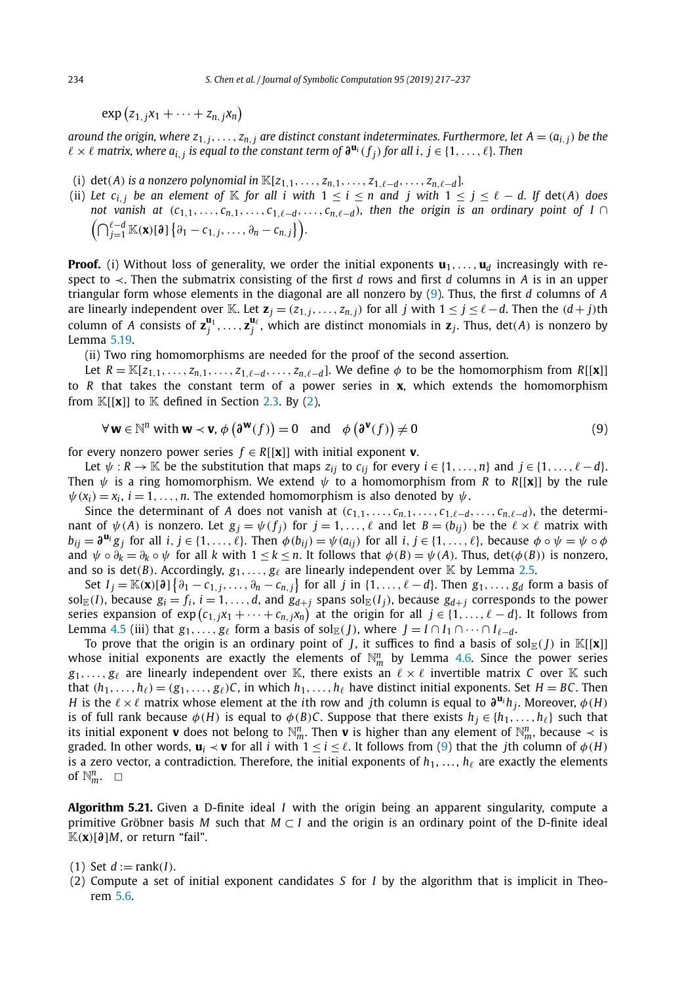<span id="page-17-0"></span> $\exp(z_1, jx_1 + \cdots + z_{n,j}x_n)$ 

around the origin, where  $z_{1,j},...,z_{n,j}$  are distinct constant indeterminates. Furthermore, let  $A=(a_{i,j})$  be the  $\ell \times \ell$  matrix, where  $a_{i,j}$  is equal to the constant term of  $\partial^{\mathbf{u}_i}(f_i)$  for all i,  $j \in \{1, ..., \ell\}$ . Then

- (i) det(A) is a nonzero polynomial in  $\mathbb{K}[z_{1,1},...,z_{n,1},...,z_{1,\ell-d},...,z_{n,\ell-d}].$
- (ii) Let  $c_{i,j}$  be an element of K for all i with  $1 \le i \le n$  and j with  $1 \le j \le \ell d$ . If  $\det(A)$  does not vanish at  $(c_{1,1},...,c_{n,1},...,c_{1,\ell-d},...,c_{n,\ell-d})$ , then the origin is an ordinary point of  $I \cap$  $(\bigcap_{j=1}^{\ell-d} \mathbb{K}(\mathbf{x})[\partial] \{ \partial_1 - c_{1,j}, \dots, \partial_n - c_{n,j} \} ).$

**Proof.** (i) Without loss of generality, we order the initial exponents  $\mathbf{u}_1, \ldots, \mathbf{u}_d$  increasingly with respect to ≺. Then the submatrix consisting of the first *d* rows and first *d* columns in *A* is in an upper triangular form whose elements in the diagonal are all nonzero by (9). Thus, the first *d* columns of *A* are linearly independent over K. Let  $\mathbf{z}_j = (z_{1,j}, \ldots, z_{n,j})$  for all j with  $1 \le j \le \ell - d$ . Then the  $(d+j)$ th column of *A* consists of  $z_j^{\mathbf{u}_1}, \ldots, z_j^{\mathbf{u}_\ell}$ , which are distinct monomials in  $z_j$ . Thus,  $\det(A)$  is nonzero by Lemma [5.19.](#page-16-0)

(ii) Two ring homomorphisms are needed for the proof of the second assertion.

Let  $R = \mathbb{K}[z_{1,1},\ldots,z_{n,1},\ldots,z_{1,\ell-d},\ldots,z_{n,\ell-d}]$ . We define  $\phi$  to be the homomorphism from  $R[[\mathbf{x}]]$ to *R* that takes the constant term of a power series in **x**, which extends the homomorphism from  $\mathbb{K}[[x]]$  to  $\mathbb{K}$  defined in Section [2.3.](#page-3-0) By [\(2\)](#page-3-0),

$$
\forall \mathbf{w} \in \mathbb{N}^n \text{ with } \mathbf{w} \prec \mathbf{v}, \phi\left(\mathbf{\partial}^{\mathbf{w}}(f)\right) = 0 \quad \text{and} \quad \phi\left(\mathbf{\partial}^{\mathbf{v}}(f)\right) \neq 0 \tag{9}
$$

for every nonzero power series  $f \in R[[\mathbf{x}]]$  with initial exponent **v**.

Let  $\psi: R \to \mathbb{K}$  be the substitution that maps  $z_{ij}$  to  $c_{ij}$  for every  $i \in \{1, \ldots, n\}$  and  $j \in \{1, \ldots, \ell - d\}$ . Then *ψ* is a ring homomorphism. We extend *ψ* to a homomorphism from *R* to *R*[[**x**]] by the rule  $\psi(x_i) = x_i$ ,  $i = 1, \ldots, n$ . The extended homomorphism is also denoted by  $\psi$ .

Since the determinant of *A* does not vanish at  $(c_{1,1},...,c_{n,1},...,c_{1,\ell-d},...,c_{n,\ell-d})$ , the determinant of  $\psi(A)$  is nonzero. Let  $g_j = \psi(f_j)$  for  $j = 1, \ldots, \ell$  and let  $B = (b_{ij})$  be the  $\ell \times \ell$  matrix with  $b_{ij} = \partial^{\mathbf{u}_i} g_i$  for all  $i, j \in \{1, ..., \ell\}$ . Then  $\phi(b_{ij}) = \psi(a_{ij})$  for all  $i, j \in \{1, ..., \ell\}$ , because  $\phi \circ \psi = \psi \circ \phi$ and  $\psi \circ \partial_k = \partial_k \circ \psi$  for all k with  $1 \leq k \leq n$ . It follows that  $\phi(B) = \psi(A)$ . Thus,  $\det(\phi(B))$  is nonzero, and so is det(*B*). Accordingly,  $g_1, \ldots, g_\ell$  are linearly independent over  $\mathbb K$  by Lemma [2.5.](#page-4-0)

Set  $I_j=\mathbb{K}(\mathbf{x})[\mathfrak{d}]\left\{\partial_1-\mathfrak{c}_{1,j},\ldots,\partial_n-\mathfrak{c}_{n,j}\right\}$  for all  $j$  in  $\{1,\ldots,\ell-d\}.$  Then  $g_1,\ldots,g_d$  form a basis of sol<sub>E</sub>(*I*), because  $g_i = f_i$ ,  $i = 1, ..., d$ , and  $g_{d+j}$  spans sol<sub>E</sub>(*I<sub>j</sub>*), because  $g_{d+j}$  corresponds to the power series expansion of  $\exp\left(c_{1,j}x_1+\cdots+c_{n,j}x_n\right)$  at the origin for all  $j\in\{1,\ldots,\ell-d\}.$  It follows from Lemma [4.5](#page-9-0) (iii) that  $g_1, \ldots, g_\ell$  form a basis of sol $\mathbb{E}(f)$ , where  $J = I \cap I_1 \cap \cdots \cap I_{\ell-d}$ .

To prove that the origin is an ordinary point of *J*, it suffices to find a basis of sol $_E(J)$  in  $\mathbb{K}[[\mathbf{x}]]$ whose initial exponents are exactly the elements of  $\mathbb{N}_m^n$  by Lemma [4.6.](#page-9-0) Since the power series  $g_1, \ldots, g_\ell$  are linearly independent over K, there exists an  $\ell \times \ell$  invertible matrix *C* over K such that  $(h_1, \ldots, h_\ell) = (g_1, \ldots, g_\ell)C$ , in which  $h_1, \ldots, h_\ell$  have distinct initial exponents. Set  $H = BC$ . Then *H* is the  $\ell \times \ell$  matrix whose element at the *i*th row and *j*th column is equal to  $\partial^{\mathbf{u}_i} h_i$ . Moreover,  $\phi(H)$ is of full rank because  $\phi(H)$  is equal to  $\phi(B)C$ . Suppose that there exists  $h_i \in \{h_1, \ldots, h_\ell\}$  such that its initial exponent **v** does not belong to  $\mathbb{N}_m^n$ . Then **v** is higher than any element of  $\mathbb{N}_m^n$ , because  $\prec$  is graded. In other words,  $\mathbf{u}_i \prec \mathbf{v}$  for all *i* with  $1 \leq i \leq \ell$ . It follows from (9) that the *j*th column of  $\phi(H)$ is a zero vector, a contradiction. Therefore, the initial exponents of  $h_1, \ldots, h_\ell$  are exactly the elements of  $\mathbb{N}_m^n$ .  $\Box$ 

**Algorithm 5.21.** Given a D-finite ideal *I* with the origin being an apparent singularity, compute a primitive Gröbner basis *M* such that  $M \subset I$  and the origin is an ordinary point of the D-finite ideal K*(***x***)*[*∂*]*M*, or return "fail".

 $(1)$  Set  $d := \text{rank}(I)$ .

(2) Compute a set of initial exponent candidates *S* for *I* by the algorithm that is implicit in Theorem [5.6.](#page-12-0)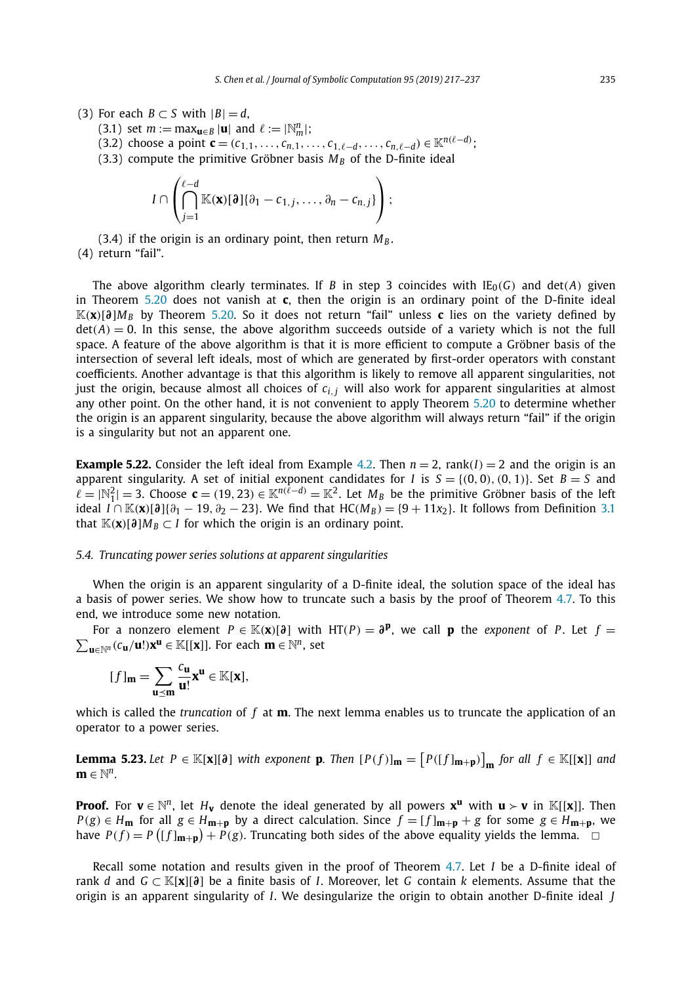- <span id="page-18-0"></span>(3) For each  $B \subset S$  with  $|B| = d$ ,
	- $(3.1)$  set  $m := \max_{\mathbf{u} \in B} |\mathbf{u}|$  and  $\ell := |\mathbb{N}_m^n|$ ;
	- $(3.2)$  choose a point  $\mathbf{c} = (c_{1,1}, \ldots, c_{n,1}, \ldots, c_{1,\ell-d}, \ldots, c_{n,\ell-d}) \in \mathbb{K}^{n(\ell-d)}$ ;
	- (3.3) compute the primitive Gröbner basis  $M_B$  of the D-finite ideal

$$
I\cap\left(\bigcap_{j=1}^{\ell-d}\mathbb{K}(\mathbf{x})[\partial]\{\partial_1-c_{1,j},\ldots,\partial_n-c_{n,j}\}\right);
$$

 $(3.4)$  if the origin is an ordinary point, then return  $M_B$ . (4) return "fail".

The above algorithm clearly terminates. If *B* in step 3 coincides with  $IE_0(G)$  and det(*A*) given in Theorem [5.20](#page-16-0) does not vanish at **c**, then the origin is an ordinary point of the D-finite ideal K*(***x***)*[*∂*]*MB* by Theorem [5.20.](#page-16-0) So it does not return "fail" unless **c** lies on the variety defined by  $det(A) = 0$ . In this sense, the above algorithm succeeds outside of a variety which is not the full space. A feature of the above algorithm is that it is more efficient to compute a Gröbner basis of the intersection of several left ideals, most of which are generated by first-order operators with constant coefficients. Another advantage is that this algorithm is likely to remove all apparent singularities, not just the origin, because almost all choices of *ci,<sup>j</sup>* will also work for apparent singularities at almost any other point. On the other hand, it is not convenient to apply Theorem [5.20](#page-16-0) to determine whether the origin is an apparent singularity, because the above algorithm will always return "fail" if the origin is a singularity but not an apparent one.

**Example 5.22.** Consider the left ideal from Example [4.2.](#page-8-0) Then  $n = 2$ , rank $(I) = 2$  and the origin is an apparent singularity. A set of initial exponent candidates for *I* is  $S = \{(0,0), (0,1)\}$ . Set  $B = S$  and  $\ell = |\mathbb{N}_1^2| = 3$ . Choose  $\mathbf{c} = (19, 23) \in \mathbb{K}^{n(\ell - d)} = \mathbb{K}^2$ . Let  $M_B$  be the primitive Gröbner basis of the left ideal  $I \cap K(\mathbf{x})[\partial]{\partial}$ <sub>1</sub> $\partial_1$  − 19,  $\partial_2$  − 23}. We find that HC( $M_B$ ) = {9 + 11*x*<sub>2</sub>}. It follows from Definition [3.1](#page-5-0) that  $K(\mathbf{x})[\partial M_B \subset I$  for which the origin is an ordinary point.

#### *5.4. Truncating power series solutions at apparent singularities*

When the origin is an apparent singularity of a D-finite ideal, the solution space of the ideal has a basis of power series. We show how to truncate such a basis by the proof of Theorem [4.7.](#page-9-0) To this end, we introduce some new notation.

For a nonzero element *P* ∈ K(**x**)[ $\partial$ ] with HT(*P*) =  $\partial$ **<sup>***P***</sup>, we call <b>p** the *exponent* of *P*. Let *f* =  $\sum_{\mathbf{u} \in \mathbb{N}^n} (c_{\mathbf{u}}/\mathbf{u}!)\mathbf{x}^{\mathbf{u}} \in \mathbb{K}[[\mathbf{x}]]$ . For each **m** ∈  $\mathbb{N}^n$ , set  $\sum_{\mathbf{u} \in \mathbb{N}^n} (c_{\mathbf{u}}/\mathbf{u}!) \mathbf{x}^{\mathbf{u}} \in \mathbb{K}[[\mathbf{x}]].$  For each  $\mathbf{m} \in \mathbb{N}^n$ , set

$$
[f]_{m} = \sum_{u \preceq m} \frac{c_{u}}{u!} x^{u} \in \mathbb{K}[x],
$$

which is called the *truncation* of *f* at **m**. The next lemma enables us to truncate the application of an operator to a power series.

**Lemma 5.23.** Let  $P \in \mathbb{K}[\mathbf{x}][\mathfrak{d}]$  with exponent **p**. Then  $[P(f)]_{\mathbf{m}} = [P([f]_{\mathbf{m}+\mathbf{p}})]_{\mathbf{m}}$  for all  $f \in \mathbb{K}[[\mathbf{x}]]$  and **m** ∈  $\mathbb{N}^n$ .

**Proof.** For  $\mathbf{v} \in \mathbb{N}^n$ , let  $H_\mathbf{v}$  denote the ideal generated by all powers  $\mathbf{x}^{\mathbf{u}}$  with  $\mathbf{u} \succ \mathbf{v}$  in K[[**x**]]. Then  $P(g) \in H_{\mathbf{m}}$  for all  $g \in H_{\mathbf{m}+\mathbf{p}}$  by a direct calculation. Since  $f = [f]_{\mathbf{m}+\mathbf{p}} + g$  for some  $g \in H_{\mathbf{m}+\mathbf{p}}$ , we have  $P(f) = P(\lfloor f \rfloor_{\mathbf{m}+\mathbf{p}}) + P(g)$ . Truncating both sides of the above equality yields the lemma.  $\Box$ 

Recall some notation and results given in the proof of Theorem [4.7.](#page-9-0) Let *I* be a D-finite ideal of rank *d* and *G* ⊂ K[**x**][*∂*] be a finite basis of *I*. Moreover, let *G* contain *k* elements. Assume that the origin is an apparent singularity of *I*. We desingularize the origin to obtain another D-finite ideal *J*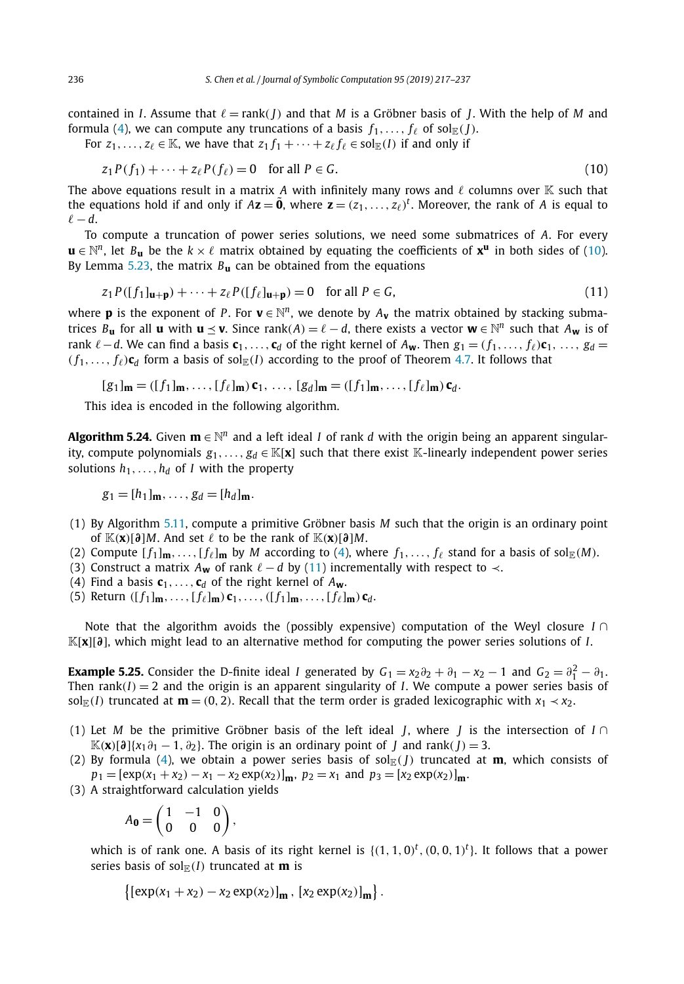contained in *I*. Assume that  $\ell = \text{rank}(I)$  and that *M* is a Gröbner basis of *J*. With the help of *M* and formula [\(4\)](#page-6-0), we can compute any truncations of a basis  $f_1, \ldots, f_\ell$  of sol $\mathbb{E}(J)$ .

For  $z_1, \ldots, z_\ell \in \mathbb{K}$ , we have that  $z_1 f_1 + \cdots + z_\ell f_\ell \in \mathrm{sol}_{\mathbb{F}}(I)$  if and only if

$$
z_1 P(f_1) + \dots + z_\ell P(f_\ell) = 0 \quad \text{for all } P \in G. \tag{10}
$$

The above equations result in a matrix A with infinitely many rows and  $\ell$  columns over K such that the equations hold if and only if  $Az = \tilde{0}$ , where  $z = (z_1, \ldots, z_\ell)^t$ . Moreover, the rank of  $A$  is equal to  $\ell - d$ .

To compute a truncation of power series solutions, we need some submatrices of *A*. For every  $\mathbf{u} \in \mathbb{N}^n$ , let  $B_{\mathbf{u}}$  be the  $k \times \ell$  matrix obtained by equating the coefficients of  $\mathbf{x}^{\mathbf{u}}$  in both sides of (10). By Lemma [5.23,](#page-18-0) the matrix *B***<sup>u</sup>** can be obtained from the equations

$$
z_1 P([f_1]_{\mathbf{u}+\mathbf{p}}) + \dots + z_{\ell} P([f_{\ell}]_{\mathbf{u}+\mathbf{p}}) = 0 \quad \text{for all } P \in G,
$$
\n
$$
(11)
$$

where **p** is the exponent of *P*. For  $\mathbf{v} \in \mathbb{N}^n$ , we denote by  $A_{\mathbf{v}}$  the matrix obtained by stacking submatrices  $B_{\bf u}$  for all  ${\bf u}$  with  ${\bf u} \preceq {\bf v}$ . Since rank $(A) = \ell - d$ , there exists a vector  ${\bf w} \in \mathbb{N}^n$  such that  $A_{\bf w}$  is of rank  $\ell - d$ . We can find a basis  $\mathbf{c}_1, \ldots, \mathbf{c}_d$  of the right kernel of  $A_{\mathbf{w}}$ . Then  $g_1 = (f_1, \ldots, f_\ell) \mathbf{c}_1, \ldots, g_d =$  $(f_1, \ldots, f_\ell)$ **c**<sub>*d*</sub> form a basis of sol<sub>E</sub>(*I*) according to the proof of Theorem [4.7.](#page-9-0) It follows that

$$
[g_1]_{\mathbf{m}} = ([f_1]_{\mathbf{m}}, \ldots, [f_\ell]_{\mathbf{m}}) \mathbf{c}_1, \ldots, [g_d]_{\mathbf{m}} = ([f_1]_{\mathbf{m}}, \ldots, [f_\ell]_{\mathbf{m}}) \mathbf{c}_d.
$$

This idea is encoded in the following algorithm.

**Algorithm 5.24.** Given  $\mathbf{m} \in \mathbb{N}^n$  and a left ideal *I* of rank *d* with the origin being an apparent singularity, compute polynomials  $g_1, \ldots, g_d \in \mathbb{K}[\mathbf{x}]$  such that there exist K-linearly independent power series solutions  $h_1, \ldots, h_d$  of *I* with the property

$$
g_1=[h_1]_{\mathbf{m}},\ldots,g_d=[h_d]_{\mathbf{m}}.
$$

- (1) By Algorithm [5.11,](#page-14-0) compute a primitive Gröbner basis *M* such that the origin is an ordinary point of  $\mathbb{K}(\mathbf{x})[\partial M]$ . And set  $\ell$  to be the rank of  $\mathbb{K}(\mathbf{x})[\partial M]$ .
- (2) Compute  $[f_1]_m, \ldots, [f_\ell]_m$  by *M* according to [\(4\)](#page-6-0), where  $f_1, \ldots, f_\ell$  stand for a basis of sol<sub>E</sub>(*M*).
- (3) Construct a matrix  $A_{\bf w}$  of rank  $\ell d$  by (11) incrementally with respect to  $\prec$ .
- (4) Find a basis  $\mathbf{c}_1, \ldots, \mathbf{c}_d$  of the right kernel of  $A_{\mathbf{w}}$ .
- (5) Return  $([f_1]_m, \ldots, [f_\ell]_m) \mathbf{c}_1, \ldots, ([f_1]_m, \ldots, [f_\ell]_m) \mathbf{c}_d$ .

Note that the algorithm avoids the (possibly expensive) computation of the Weyl closure *I* ∩ K[**x**][*∂*], which might lead to an alternative method for computing the power series solutions of *I*.

**Example 5.25.** Consider the D-finite ideal *I* generated by  $G_1 = x_2\partial_2 + \partial_1 - x_2 - 1$  and  $G_2 = \partial_1^2 - \partial_1$ . Then rank $(I) = 2$  and the origin is an apparent singularity of *I*. We compute a power series basis of sol<sub>E</sub>(*I*) truncated at **m** = (0, 2). Recall that the term order is graded lexicographic with  $x_1 \prec x_2$ .

- (1) Let *M* be the primitive Gröbner basis of the left ideal *J*, where *J* is the intersection of *I* ∩  $\mathbb{K}(\mathbf{x})[\partial]\{x_1\partial_1 - 1, \partial_2\}$ . The origin is an ordinary point of *J* and rank $(J) = 3$ .
- (2) By formula [\(4\)](#page-6-0), we obtain a power series basis of sol<sub> $\mathbb{R}(I)$ </sub> truncated at **m**, which consists of  $p_1 = [\exp(x_1 + x_2) - x_1 - x_2 \exp(x_2)]_{\text{m}}, p_2 = x_1$  and  $p_3 = [x_2 \exp(x_2)]_{\text{m}}$ .
- (3) A straightforward calculation yields

$$
A_{\mathbf{0}} = \begin{pmatrix} 1 & -1 & 0 \\ 0 & 0 & 0 \end{pmatrix},
$$

which is of rank one. A basis of its right kernel is  $\{(1, 1, 0)^t, (0, 0, 1)^t\}$ . It follows that a power series basis of sol $E(I)$  truncated at **m** is

$$
\{[\exp(x_1+x_2)-x_2\exp(x_2)]_{\mathbf{m}}, [x_2\exp(x_2)]_{\mathbf{m}}\}.
$$